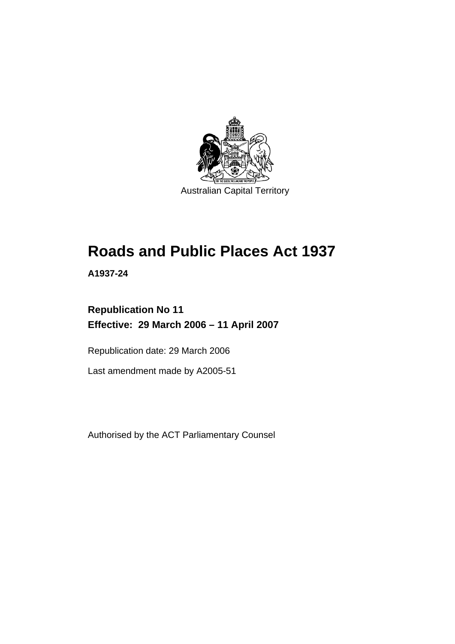

# **Roads and Public Places Act 1937**

**A1937-24** 

# **Republication No 11 Effective: 29 March 2006 – 11 April 2007**

Republication date: 29 March 2006

Last amendment made by A2005-51

Authorised by the ACT Parliamentary Counsel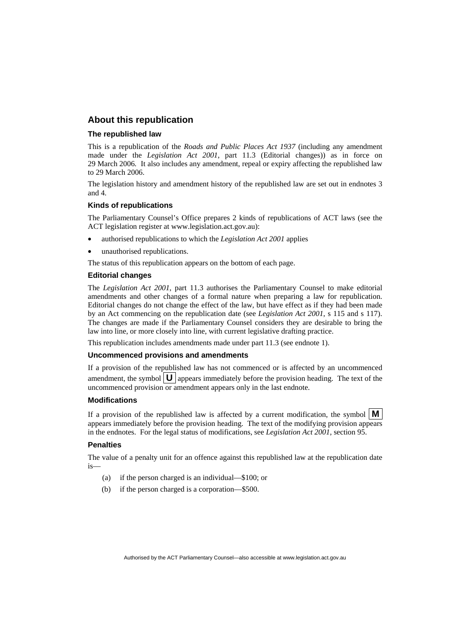# **About this republication**

#### **The republished law**

This is a republication of the *Roads and Public Places Act 1937* (including any amendment made under the *Legislation Act 2001*, part 11.3 (Editorial changes)) as in force on 29 March 2006*.* It also includes any amendment, repeal or expiry affecting the republished law to 29 March 2006.

The legislation history and amendment history of the republished law are set out in endnotes 3 and 4.

#### **Kinds of republications**

The Parliamentary Counsel's Office prepares 2 kinds of republications of ACT laws (see the ACT legislation register at www.legislation.act.gov.au):

- authorised republications to which the *Legislation Act 2001* applies
- unauthorised republications.

The status of this republication appears on the bottom of each page.

#### **Editorial changes**

The *Legislation Act 2001*, part 11.3 authorises the Parliamentary Counsel to make editorial amendments and other changes of a formal nature when preparing a law for republication. Editorial changes do not change the effect of the law, but have effect as if they had been made by an Act commencing on the republication date (see *Legislation Act 2001*, s 115 and s 117). The changes are made if the Parliamentary Counsel considers they are desirable to bring the law into line, or more closely into line, with current legislative drafting practice.

This republication includes amendments made under part 11.3 (see endnote 1).

#### **Uncommenced provisions and amendments**

If a provision of the republished law has not commenced or is affected by an uncommenced amendment, the symbol  $\mathbf{U}$  appears immediately before the provision heading. The text of the uncommenced provision or amendment appears only in the last endnote.

#### **Modifications**

If a provision of the republished law is affected by a current modification, the symbol  $\mathbf{M}$ appears immediately before the provision heading. The text of the modifying provision appears in the endnotes. For the legal status of modifications, see *Legislation Act 2001*, section 95.

#### **Penalties**

The value of a penalty unit for an offence against this republished law at the republication date is—

- (a) if the person charged is an individual—\$100; or
- (b) if the person charged is a corporation—\$500.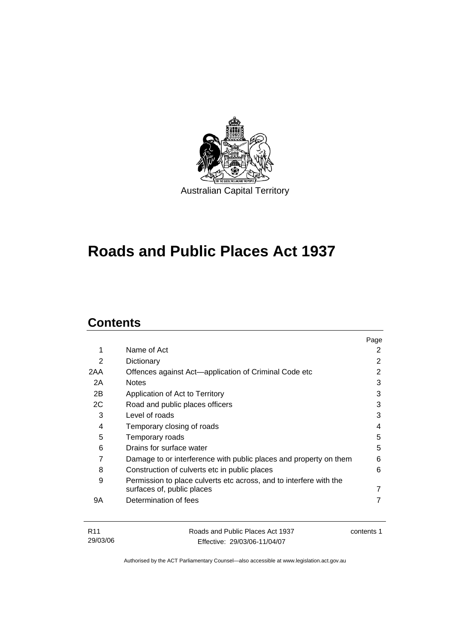

# **Roads and Public Places Act 1937**

# **Contents**

|                                                                    | Page |
|--------------------------------------------------------------------|------|
| Name of Act                                                        | 2    |
| Dictionary                                                         | 2    |
| Offences against Act—application of Criminal Code etc              | 2    |
| <b>Notes</b>                                                       | 3    |
| Application of Act to Territory                                    | 3    |
| Road and public places officers                                    | 3    |
| Level of roads                                                     | 3    |
| Temporary closing of roads                                         | 4    |
| Temporary roads                                                    | 5    |
| Drains for surface water                                           | 5    |
| Damage to or interference with public places and property on them  | 6    |
| Construction of culverts etc in public places                      | 6    |
| Permission to place culverts etc across, and to interfere with the |      |
| surfaces of, public places                                         |      |
| Determination of fees                                              |      |
|                                                                    |      |
|                                                                    |      |

| R11      | Roads and Public Places Act 1937 | contents 1 |
|----------|----------------------------------|------------|
| 29/03/06 | Effective: 29/03/06-11/04/07     |            |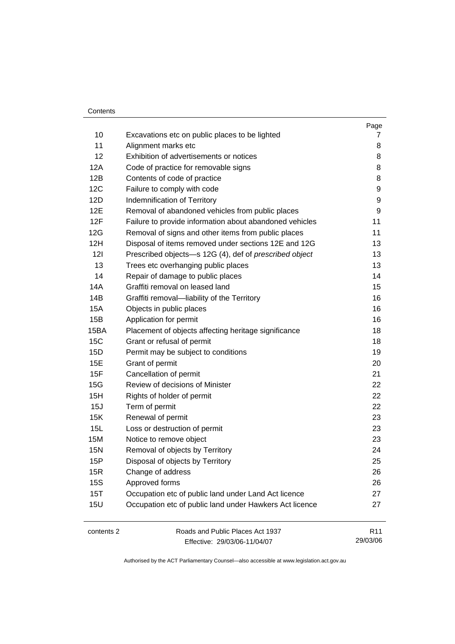#### Contents

| 10<br>Excavations etc on public places to be lighted<br>11<br>Alignment marks etc<br>12<br>Exhibition of advertisements or notices<br>12A<br>Code of practice for removable signs<br>12B<br>Contents of code of practice<br>12C<br>Failure to comply with code<br>12D<br>Indemnification of Territory<br>12E<br>Removal of abandoned vehicles from public places<br>12F<br>Failure to provide information about abandoned vehicles<br>12G<br>Removal of signs and other items from public places<br>12H<br>Disposal of items removed under sections 12E and 12G<br>121<br>Prescribed objects-s 12G (4), def of prescribed object<br>13<br>Trees etc overhanging public places<br>14<br>Repair of damage to public places<br>Graffiti removal on leased land<br>14A<br>14B<br>Graffiti removal-liability of the Territory<br>15A<br>Objects in public places<br>15B<br>Application for permit<br>15BA<br>Placement of objects affecting heritage significance<br>15C<br>Grant or refusal of permit<br>15D<br>Permit may be subject to conditions<br>15E<br>Grant of permit<br>15F<br>Cancellation of permit<br>Review of decisions of Minister<br>15G<br>15H<br>Rights of holder of permit<br>15J<br>Term of permit<br>15K<br>Renewal of permit<br>15L<br>Loss or destruction of permit<br>15M<br>Notice to remove object<br>Removal of objects by Territory<br><b>15N</b><br>15P<br>Disposal of objects by Territory |                 |
|----------------------------------------------------------------------------------------------------------------------------------------------------------------------------------------------------------------------------------------------------------------------------------------------------------------------------------------------------------------------------------------------------------------------------------------------------------------------------------------------------------------------------------------------------------------------------------------------------------------------------------------------------------------------------------------------------------------------------------------------------------------------------------------------------------------------------------------------------------------------------------------------------------------------------------------------------------------------------------------------------------------------------------------------------------------------------------------------------------------------------------------------------------------------------------------------------------------------------------------------------------------------------------------------------------------------------------------------------------------------------------------------------------------------|-----------------|
|                                                                                                                                                                                                                                                                                                                                                                                                                                                                                                                                                                                                                                                                                                                                                                                                                                                                                                                                                                                                                                                                                                                                                                                                                                                                                                                                                                                                                      | 7               |
|                                                                                                                                                                                                                                                                                                                                                                                                                                                                                                                                                                                                                                                                                                                                                                                                                                                                                                                                                                                                                                                                                                                                                                                                                                                                                                                                                                                                                      | 8               |
|                                                                                                                                                                                                                                                                                                                                                                                                                                                                                                                                                                                                                                                                                                                                                                                                                                                                                                                                                                                                                                                                                                                                                                                                                                                                                                                                                                                                                      | 8               |
|                                                                                                                                                                                                                                                                                                                                                                                                                                                                                                                                                                                                                                                                                                                                                                                                                                                                                                                                                                                                                                                                                                                                                                                                                                                                                                                                                                                                                      | 8               |
|                                                                                                                                                                                                                                                                                                                                                                                                                                                                                                                                                                                                                                                                                                                                                                                                                                                                                                                                                                                                                                                                                                                                                                                                                                                                                                                                                                                                                      | 8               |
|                                                                                                                                                                                                                                                                                                                                                                                                                                                                                                                                                                                                                                                                                                                                                                                                                                                                                                                                                                                                                                                                                                                                                                                                                                                                                                                                                                                                                      | 9               |
|                                                                                                                                                                                                                                                                                                                                                                                                                                                                                                                                                                                                                                                                                                                                                                                                                                                                                                                                                                                                                                                                                                                                                                                                                                                                                                                                                                                                                      | 9               |
|                                                                                                                                                                                                                                                                                                                                                                                                                                                                                                                                                                                                                                                                                                                                                                                                                                                                                                                                                                                                                                                                                                                                                                                                                                                                                                                                                                                                                      | 9               |
|                                                                                                                                                                                                                                                                                                                                                                                                                                                                                                                                                                                                                                                                                                                                                                                                                                                                                                                                                                                                                                                                                                                                                                                                                                                                                                                                                                                                                      | 11              |
|                                                                                                                                                                                                                                                                                                                                                                                                                                                                                                                                                                                                                                                                                                                                                                                                                                                                                                                                                                                                                                                                                                                                                                                                                                                                                                                                                                                                                      | 11              |
|                                                                                                                                                                                                                                                                                                                                                                                                                                                                                                                                                                                                                                                                                                                                                                                                                                                                                                                                                                                                                                                                                                                                                                                                                                                                                                                                                                                                                      | 13              |
|                                                                                                                                                                                                                                                                                                                                                                                                                                                                                                                                                                                                                                                                                                                                                                                                                                                                                                                                                                                                                                                                                                                                                                                                                                                                                                                                                                                                                      | 13              |
|                                                                                                                                                                                                                                                                                                                                                                                                                                                                                                                                                                                                                                                                                                                                                                                                                                                                                                                                                                                                                                                                                                                                                                                                                                                                                                                                                                                                                      | 13              |
|                                                                                                                                                                                                                                                                                                                                                                                                                                                                                                                                                                                                                                                                                                                                                                                                                                                                                                                                                                                                                                                                                                                                                                                                                                                                                                                                                                                                                      | 14              |
|                                                                                                                                                                                                                                                                                                                                                                                                                                                                                                                                                                                                                                                                                                                                                                                                                                                                                                                                                                                                                                                                                                                                                                                                                                                                                                                                                                                                                      | 15              |
|                                                                                                                                                                                                                                                                                                                                                                                                                                                                                                                                                                                                                                                                                                                                                                                                                                                                                                                                                                                                                                                                                                                                                                                                                                                                                                                                                                                                                      | 16              |
|                                                                                                                                                                                                                                                                                                                                                                                                                                                                                                                                                                                                                                                                                                                                                                                                                                                                                                                                                                                                                                                                                                                                                                                                                                                                                                                                                                                                                      | 16              |
|                                                                                                                                                                                                                                                                                                                                                                                                                                                                                                                                                                                                                                                                                                                                                                                                                                                                                                                                                                                                                                                                                                                                                                                                                                                                                                                                                                                                                      | 16              |
|                                                                                                                                                                                                                                                                                                                                                                                                                                                                                                                                                                                                                                                                                                                                                                                                                                                                                                                                                                                                                                                                                                                                                                                                                                                                                                                                                                                                                      | 18              |
|                                                                                                                                                                                                                                                                                                                                                                                                                                                                                                                                                                                                                                                                                                                                                                                                                                                                                                                                                                                                                                                                                                                                                                                                                                                                                                                                                                                                                      | 18              |
|                                                                                                                                                                                                                                                                                                                                                                                                                                                                                                                                                                                                                                                                                                                                                                                                                                                                                                                                                                                                                                                                                                                                                                                                                                                                                                                                                                                                                      | 19              |
|                                                                                                                                                                                                                                                                                                                                                                                                                                                                                                                                                                                                                                                                                                                                                                                                                                                                                                                                                                                                                                                                                                                                                                                                                                                                                                                                                                                                                      | 20              |
|                                                                                                                                                                                                                                                                                                                                                                                                                                                                                                                                                                                                                                                                                                                                                                                                                                                                                                                                                                                                                                                                                                                                                                                                                                                                                                                                                                                                                      | 21              |
|                                                                                                                                                                                                                                                                                                                                                                                                                                                                                                                                                                                                                                                                                                                                                                                                                                                                                                                                                                                                                                                                                                                                                                                                                                                                                                                                                                                                                      | 22              |
|                                                                                                                                                                                                                                                                                                                                                                                                                                                                                                                                                                                                                                                                                                                                                                                                                                                                                                                                                                                                                                                                                                                                                                                                                                                                                                                                                                                                                      | 22              |
|                                                                                                                                                                                                                                                                                                                                                                                                                                                                                                                                                                                                                                                                                                                                                                                                                                                                                                                                                                                                                                                                                                                                                                                                                                                                                                                                                                                                                      | 22              |
|                                                                                                                                                                                                                                                                                                                                                                                                                                                                                                                                                                                                                                                                                                                                                                                                                                                                                                                                                                                                                                                                                                                                                                                                                                                                                                                                                                                                                      | 23              |
|                                                                                                                                                                                                                                                                                                                                                                                                                                                                                                                                                                                                                                                                                                                                                                                                                                                                                                                                                                                                                                                                                                                                                                                                                                                                                                                                                                                                                      | 23              |
|                                                                                                                                                                                                                                                                                                                                                                                                                                                                                                                                                                                                                                                                                                                                                                                                                                                                                                                                                                                                                                                                                                                                                                                                                                                                                                                                                                                                                      | 23              |
|                                                                                                                                                                                                                                                                                                                                                                                                                                                                                                                                                                                                                                                                                                                                                                                                                                                                                                                                                                                                                                                                                                                                                                                                                                                                                                                                                                                                                      | 24              |
|                                                                                                                                                                                                                                                                                                                                                                                                                                                                                                                                                                                                                                                                                                                                                                                                                                                                                                                                                                                                                                                                                                                                                                                                                                                                                                                                                                                                                      | 25              |
| 15R<br>Change of address                                                                                                                                                                                                                                                                                                                                                                                                                                                                                                                                                                                                                                                                                                                                                                                                                                                                                                                                                                                                                                                                                                                                                                                                                                                                                                                                                                                             | 26              |
| <b>15S</b><br>Approved forms                                                                                                                                                                                                                                                                                                                                                                                                                                                                                                                                                                                                                                                                                                                                                                                                                                                                                                                                                                                                                                                                                                                                                                                                                                                                                                                                                                                         | 26              |
| 15T<br>Occupation etc of public land under Land Act licence                                                                                                                                                                                                                                                                                                                                                                                                                                                                                                                                                                                                                                                                                                                                                                                                                                                                                                                                                                                                                                                                                                                                                                                                                                                                                                                                                          | 27              |
| <b>15U</b><br>Occupation etc of public land under Hawkers Act licence                                                                                                                                                                                                                                                                                                                                                                                                                                                                                                                                                                                                                                                                                                                                                                                                                                                                                                                                                                                                                                                                                                                                                                                                                                                                                                                                                | 27              |
| Roads and Public Places Act 1937<br>contents 2                                                                                                                                                                                                                                                                                                                                                                                                                                                                                                                                                                                                                                                                                                                                                                                                                                                                                                                                                                                                                                                                                                                                                                                                                                                                                                                                                                       | R <sub>11</sub> |

Effective: 29/03/06-11/04/07

29/03/06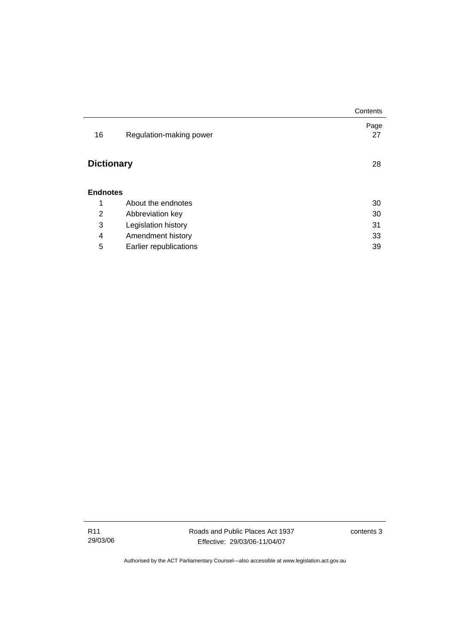|                   |                         | Contents   |
|-------------------|-------------------------|------------|
| 16                | Regulation-making power | Page<br>27 |
| <b>Dictionary</b> |                         | 28         |
| <b>Endnotes</b>   |                         |            |
| 1                 | About the endnotes      | 30         |
| 2                 | Abbreviation key        | 30         |
| 3                 | Legislation history     | 31         |
| 4                 | Amendment history       | 33         |
| 5                 | Earlier republications  | 39         |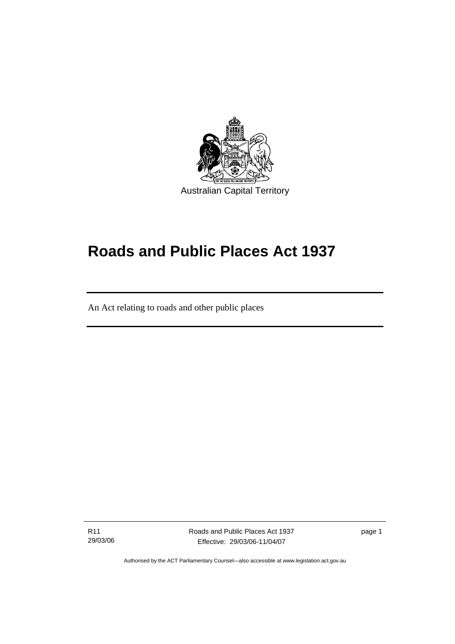

# **Roads and Public Places Act 1937**

An Act relating to roads and other public places

R11 29/03/06

l

Roads and Public Places Act 1937 Effective: 29/03/06-11/04/07

page 1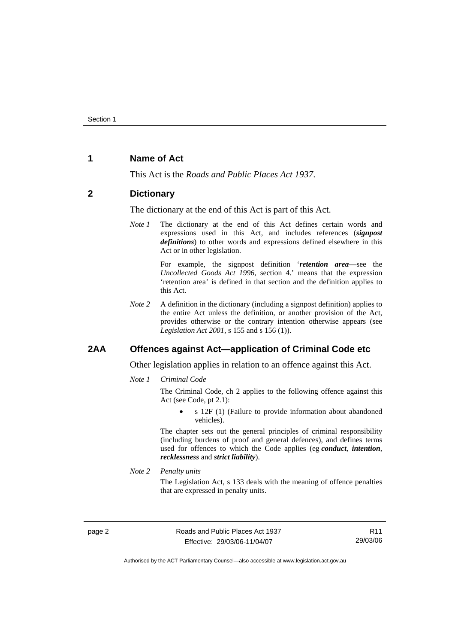# **1 Name of Act**

This Act is the *Roads and Public Places Act 1937*.

#### **2 Dictionary**

The dictionary at the end of this Act is part of this Act.

*Note 1* The dictionary at the end of this Act defines certain words and expressions used in this Act, and includes references (*signpost definitions*) to other words and expressions defined elsewhere in this Act or in other legislation.

> For example, the signpost definition '*retention area*—see the *Uncollected Goods Act 1996*, section 4.' means that the expression 'retention area' is defined in that section and the definition applies to this Act.

*Note 2* A definition in the dictionary (including a signpost definition) applies to the entire Act unless the definition, or another provision of the Act, provides otherwise or the contrary intention otherwise appears (see *Legislation Act 2001*, s 155 and s 156 (1)).

# **2AA Offences against Act—application of Criminal Code etc**

Other legislation applies in relation to an offence against this Act.

*Note 1 Criminal Code*

The Criminal Code, ch 2 applies to the following offence against this Act (see Code, pt 2.1):

• s 12F (1) (Failure to provide information about abandoned vehicles).

The chapter sets out the general principles of criminal responsibility (including burdens of proof and general defences), and defines terms used for offences to which the Code applies (eg *conduct*, *intention*, *recklessness* and *strict liability*).

*Note 2 Penalty units* 

The Legislation Act, s 133 deals with the meaning of offence penalties that are expressed in penalty units.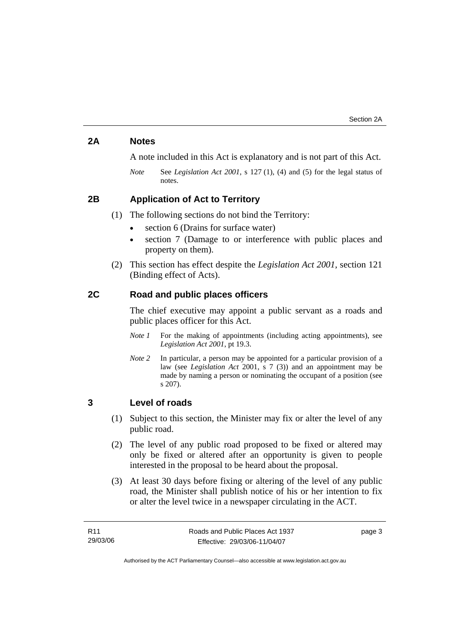# **2A Notes**

A note included in this Act is explanatory and is not part of this Act.

*Note* See *Legislation Act 2001*, s 127 (1), (4) and (5) for the legal status of notes.

# **2B Application of Act to Territory**

(1) The following sections do not bind the Territory:

- section 6 (Drains for surface water)
- section 7 (Damage to or interference with public places and property on them).
- (2) This section has effect despite the *Legislation Act 2001*, section 121 (Binding effect of Acts).

### **2C Road and public places officers**

The chief executive may appoint a public servant as a roads and public places officer for this Act.

- *Note 1* For the making of appointments (including acting appointments), see *Legislation Act 2001*, pt 19.3.
- *Note 2* In particular, a person may be appointed for a particular provision of a law (see *Legislation Act* 2001, s 7 (3)) and an appointment may be made by naming a person or nominating the occupant of a position (see s 207).

#### **3 Level of roads**

- (1) Subject to this section, the Minister may fix or alter the level of any public road.
- (2) The level of any public road proposed to be fixed or altered may only be fixed or altered after an opportunity is given to people interested in the proposal to be heard about the proposal.
- (3) At least 30 days before fixing or altering of the level of any public road, the Minister shall publish notice of his or her intention to fix or alter the level twice in a newspaper circulating in the ACT.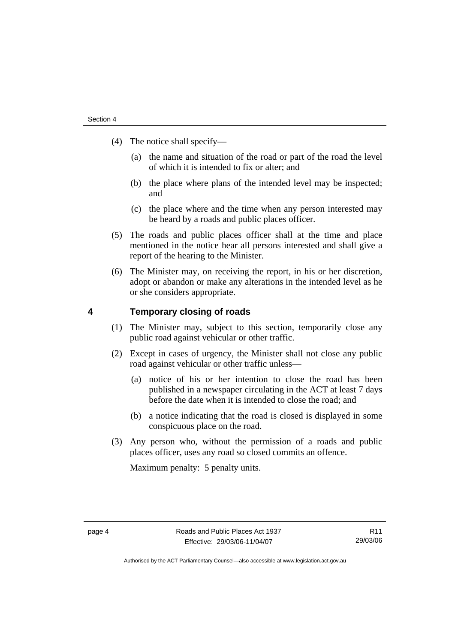- (4) The notice shall specify—
	- (a) the name and situation of the road or part of the road the level of which it is intended to fix or alter; and
	- (b) the place where plans of the intended level may be inspected; and
	- (c) the place where and the time when any person interested may be heard by a roads and public places officer.
- (5) The roads and public places officer shall at the time and place mentioned in the notice hear all persons interested and shall give a report of the hearing to the Minister.
- (6) The Minister may, on receiving the report, in his or her discretion, adopt or abandon or make any alterations in the intended level as he or she considers appropriate.

### **4 Temporary closing of roads**

- (1) The Minister may, subject to this section, temporarily close any public road against vehicular or other traffic.
- (2) Except in cases of urgency, the Minister shall not close any public road against vehicular or other traffic unless—
	- (a) notice of his or her intention to close the road has been published in a newspaper circulating in the ACT at least 7 days before the date when it is intended to close the road; and
	- (b) a notice indicating that the road is closed is displayed in some conspicuous place on the road.
- (3) Any person who, without the permission of a roads and public places officer, uses any road so closed commits an offence.

Maximum penalty: 5 penalty units.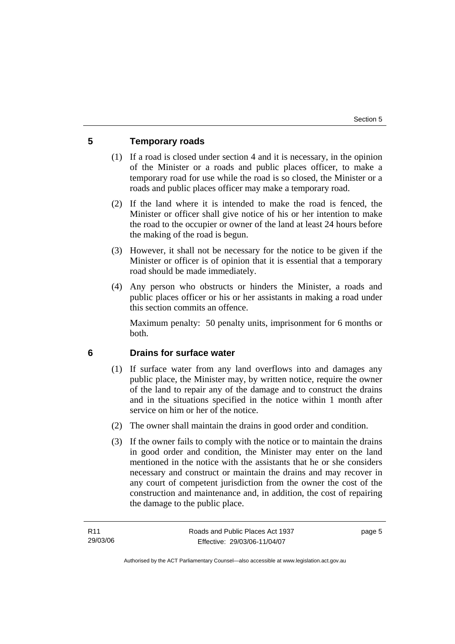# **5 Temporary roads**

- (1) If a road is closed under section 4 and it is necessary, in the opinion of the Minister or a roads and public places officer, to make a temporary road for use while the road is so closed, the Minister or a roads and public places officer may make a temporary road.
- (2) If the land where it is intended to make the road is fenced, the Minister or officer shall give notice of his or her intention to make the road to the occupier or owner of the land at least 24 hours before the making of the road is begun.
- (3) However, it shall not be necessary for the notice to be given if the Minister or officer is of opinion that it is essential that a temporary road should be made immediately.
- (4) Any person who obstructs or hinders the Minister, a roads and public places officer or his or her assistants in making a road under this section commits an offence.

Maximum penalty: 50 penalty units, imprisonment for 6 months or both.

## **6 Drains for surface water**

- (1) If surface water from any land overflows into and damages any public place, the Minister may, by written notice, require the owner of the land to repair any of the damage and to construct the drains and in the situations specified in the notice within 1 month after service on him or her of the notice.
- (2) The owner shall maintain the drains in good order and condition.
- (3) If the owner fails to comply with the notice or to maintain the drains in good order and condition, the Minister may enter on the land mentioned in the notice with the assistants that he or she considers necessary and construct or maintain the drains and may recover in any court of competent jurisdiction from the owner the cost of the construction and maintenance and, in addition, the cost of repairing the damage to the public place.

page 5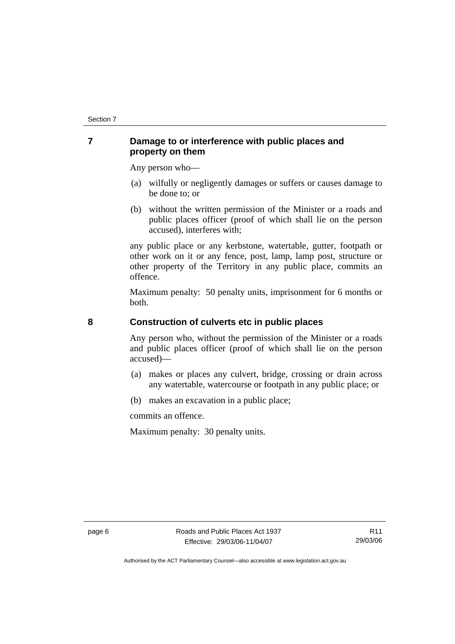# **7 Damage to or interference with public places and property on them**

Any person who—

- (a) wilfully or negligently damages or suffers or causes damage to be done to; or
- (b) without the written permission of the Minister or a roads and public places officer (proof of which shall lie on the person accused), interferes with;

any public place or any kerbstone, watertable, gutter, footpath or other work on it or any fence, post, lamp, lamp post, structure or other property of the Territory in any public place, commits an offence.

Maximum penalty: 50 penalty units, imprisonment for 6 months or both.

# **8 Construction of culverts etc in public places**

Any person who, without the permission of the Minister or a roads and public places officer (proof of which shall lie on the person accused)—

- (a) makes or places any culvert, bridge, crossing or drain across any watertable, watercourse or footpath in any public place; or
- (b) makes an excavation in a public place;

commits an offence.

Maximum penalty: 30 penalty units.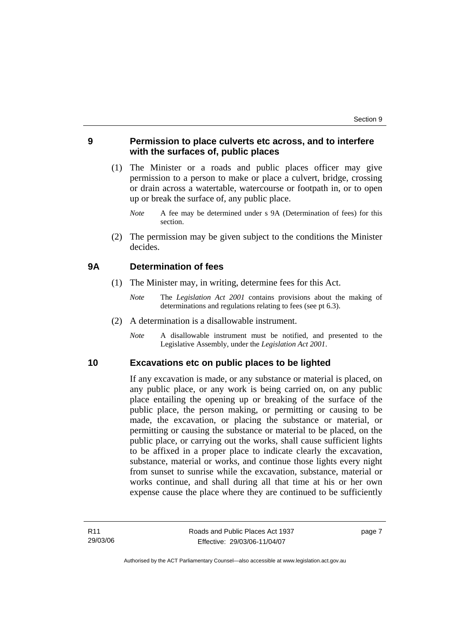# **9 Permission to place culverts etc across, and to interfere with the surfaces of, public places**

- (1) The Minister or a roads and public places officer may give permission to a person to make or place a culvert, bridge, crossing or drain across a watertable, watercourse or footpath in, or to open up or break the surface of, any public place.
	- *Note* A fee may be determined under s 9A (Determination of fees) for this section.
- (2) The permission may be given subject to the conditions the Minister decides.

#### **9A Determination of fees**

- (1) The Minister may, in writing, determine fees for this Act.
	- *Note* The *Legislation Act 2001* contains provisions about the making of determinations and regulations relating to fees (see pt 6.3).
- (2) A determination is a disallowable instrument.
	- *Note* A disallowable instrument must be notified, and presented to the Legislative Assembly, under the *Legislation Act 2001*.

#### **10 Excavations etc on public places to be lighted**

If any excavation is made, or any substance or material is placed, on any public place, or any work is being carried on, on any public place entailing the opening up or breaking of the surface of the public place, the person making, or permitting or causing to be made, the excavation, or placing the substance or material, or permitting or causing the substance or material to be placed, on the public place, or carrying out the works, shall cause sufficient lights to be affixed in a proper place to indicate clearly the excavation, substance, material or works, and continue those lights every night from sunset to sunrise while the excavation, substance, material or works continue, and shall during all that time at his or her own expense cause the place where they are continued to be sufficiently

page 7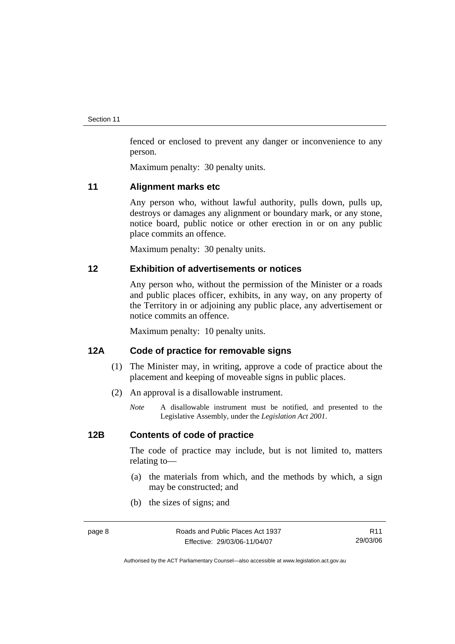fenced or enclosed to prevent any danger or inconvenience to any person.

Maximum penalty: 30 penalty units.

#### **11 Alignment marks etc**

Any person who, without lawful authority, pulls down, pulls up, destroys or damages any alignment or boundary mark, or any stone, notice board, public notice or other erection in or on any public place commits an offence.

Maximum penalty: 30 penalty units.

#### **12 Exhibition of advertisements or notices**

Any person who, without the permission of the Minister or a roads and public places officer, exhibits, in any way, on any property of the Territory in or adjoining any public place, any advertisement or notice commits an offence.

Maximum penalty: 10 penalty units.

# **12A Code of practice for removable signs**

- (1) The Minister may, in writing, approve a code of practice about the placement and keeping of moveable signs in public places.
- (2) An approval is a disallowable instrument.
	- *Note* A disallowable instrument must be notified, and presented to the Legislative Assembly, under the *Legislation Act 2001*.

# **12B Contents of code of practice**

The code of practice may include, but is not limited to, matters relating to—

- (a) the materials from which, and the methods by which, a sign may be constructed; and
- (b) the sizes of signs; and

R11 29/03/06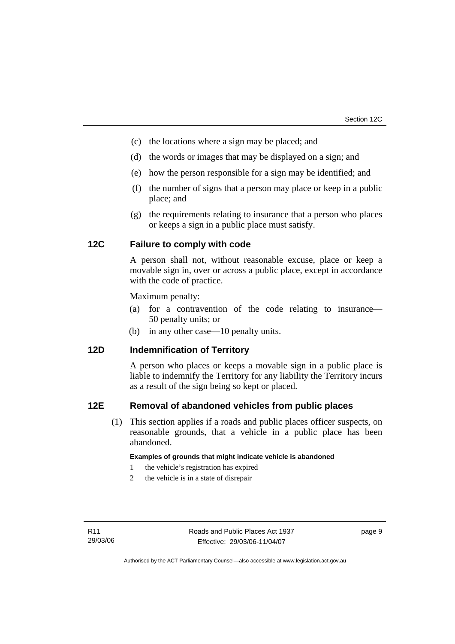- (c) the locations where a sign may be placed; and
- (d) the words or images that may be displayed on a sign; and
- (e) how the person responsible for a sign may be identified; and
- (f) the number of signs that a person may place or keep in a public place; and
- (g) the requirements relating to insurance that a person who places or keeps a sign in a public place must satisfy.

# **12C Failure to comply with code**

A person shall not, without reasonable excuse, place or keep a movable sign in, over or across a public place, except in accordance with the code of practice.

Maximum penalty:

- (a) for a contravention of the code relating to insurance— 50 penalty units; or
- (b) in any other case—10 penalty units.

# **12D Indemnification of Territory**

A person who places or keeps a movable sign in a public place is liable to indemnify the Territory for any liability the Territory incurs as a result of the sign being so kept or placed.

#### **12E Removal of abandoned vehicles from public places**

 (1) This section applies if a roads and public places officer suspects, on reasonable grounds, that a vehicle in a public place has been abandoned.

#### **Examples of grounds that might indicate vehicle is abandoned**

- 1 the vehicle's registration has expired
- 2 the vehicle is in a state of disrepair

page 9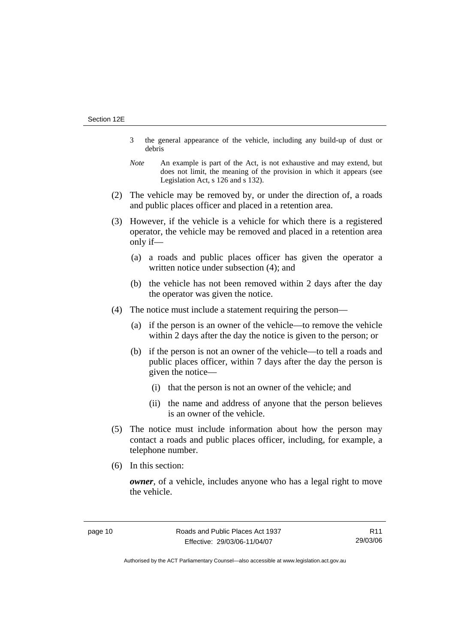- 3 the general appearance of the vehicle, including any build-up of dust or debris
- *Note* An example is part of the Act, is not exhaustive and may extend, but does not limit, the meaning of the provision in which it appears (see Legislation Act, s 126 and s 132).
- (2) The vehicle may be removed by, or under the direction of, a roads and public places officer and placed in a retention area.
- (3) However, if the vehicle is a vehicle for which there is a registered operator, the vehicle may be removed and placed in a retention area only if—
	- (a) a roads and public places officer has given the operator a written notice under subsection (4); and
	- (b) the vehicle has not been removed within 2 days after the day the operator was given the notice.
- (4) The notice must include a statement requiring the person—
	- (a) if the person is an owner of the vehicle—to remove the vehicle within 2 days after the day the notice is given to the person; or
	- (b) if the person is not an owner of the vehicle—to tell a roads and public places officer, within 7 days after the day the person is given the notice—
		- (i) that the person is not an owner of the vehicle; and
		- (ii) the name and address of anyone that the person believes is an owner of the vehicle.
- (5) The notice must include information about how the person may contact a roads and public places officer, including, for example, a telephone number.
- (6) In this section:

*owner*, of a vehicle, includes anyone who has a legal right to move the vehicle.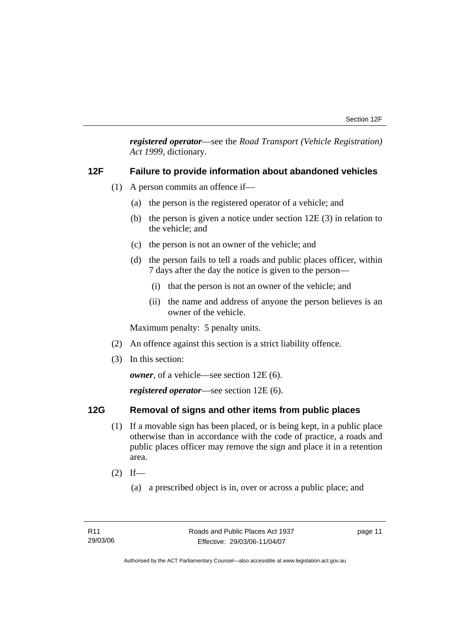*registered operator*—see the *Road Transport (Vehicle Registration) Act 1999*, dictionary.

#### **12F Failure to provide information about abandoned vehicles**

- (1) A person commits an offence if—
	- (a) the person is the registered operator of a vehicle; and
	- (b) the person is given a notice under section 12E (3) in relation to the vehicle; and
	- (c) the person is not an owner of the vehicle; and
	- (d) the person fails to tell a roads and public places officer, within 7 days after the day the notice is given to the person—
		- (i) that the person is not an owner of the vehicle; and
		- (ii) the name and address of anyone the person believes is an owner of the vehicle.

Maximum penalty: 5 penalty units.

- (2) An offence against this section is a strict liability offence.
- (3) In this section:

*owner*, of a vehicle—see section 12E (6).

*registered operator*—see section 12E (6).

# **12G Removal of signs and other items from public places**

- (1) If a movable sign has been placed, or is being kept, in a public place otherwise than in accordance with the code of practice, a roads and public places officer may remove the sign and place it in a retention area.
- $(2)$  If—
	- (a) a prescribed object is in, over or across a public place; and

page 11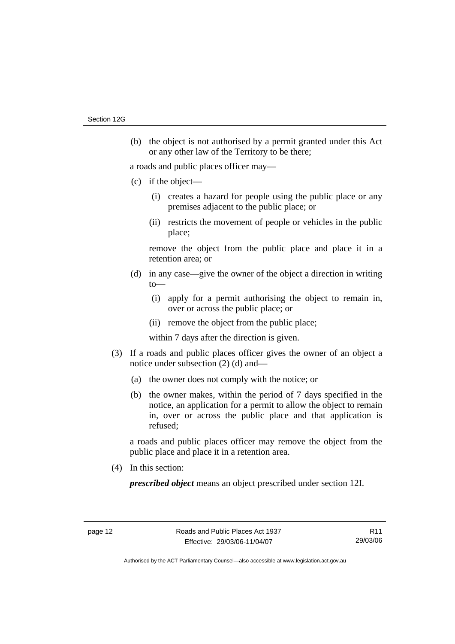(b) the object is not authorised by a permit granted under this Act or any other law of the Territory to be there;

a roads and public places officer may—

- (c) if the object—
	- (i) creates a hazard for people using the public place or any premises adjacent to the public place; or
	- (ii) restricts the movement of people or vehicles in the public place;

remove the object from the public place and place it in a retention area; or

- (d) in any case—give the owner of the object a direction in writing  $to$ —
	- (i) apply for a permit authorising the object to remain in, over or across the public place; or
	- (ii) remove the object from the public place;

within 7 days after the direction is given.

- (3) If a roads and public places officer gives the owner of an object a notice under subsection (2) (d) and—
	- (a) the owner does not comply with the notice; or
	- (b) the owner makes, within the period of 7 days specified in the notice, an application for a permit to allow the object to remain in, over or across the public place and that application is refused;

a roads and public places officer may remove the object from the public place and place it in a retention area.

(4) In this section:

*prescribed object* means an object prescribed under section 12I.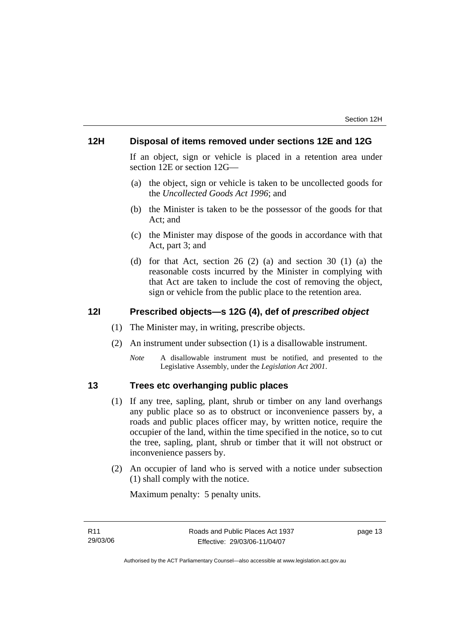# **12H Disposal of items removed under sections 12E and 12G**

If an object, sign or vehicle is placed in a retention area under section 12E or section 12G—

- (a) the object, sign or vehicle is taken to be uncollected goods for the *Uncollected Goods Act 1996*; and
- (b) the Minister is taken to be the possessor of the goods for that Act; and
- (c) the Minister may dispose of the goods in accordance with that Act, part 3; and
- (d) for that Act, section 26 (2) (a) and section 30 (1) (a) the reasonable costs incurred by the Minister in complying with that Act are taken to include the cost of removing the object, sign or vehicle from the public place to the retention area.

#### **12I Prescribed objects—s 12G (4), def of** *prescribed object*

- (1) The Minister may, in writing, prescribe objects.
- (2) An instrument under subsection (1) is a disallowable instrument.
	- *Note* A disallowable instrument must be notified, and presented to the Legislative Assembly, under the *Legislation Act 2001*.

# **13 Trees etc overhanging public places**

- (1) If any tree, sapling, plant, shrub or timber on any land overhangs any public place so as to obstruct or inconvenience passers by, a roads and public places officer may, by written notice, require the occupier of the land, within the time specified in the notice, so to cut the tree, sapling, plant, shrub or timber that it will not obstruct or inconvenience passers by.
- (2) An occupier of land who is served with a notice under subsection (1) shall comply with the notice.

Maximum penalty: 5 penalty units.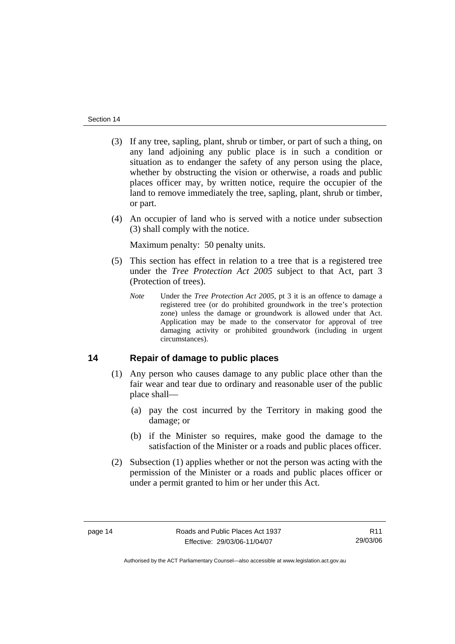- (3) If any tree, sapling, plant, shrub or timber, or part of such a thing, on any land adjoining any public place is in such a condition or situation as to endanger the safety of any person using the place, whether by obstructing the vision or otherwise, a roads and public places officer may, by written notice, require the occupier of the land to remove immediately the tree, sapling, plant, shrub or timber, or part.
- (4) An occupier of land who is served with a notice under subsection (3) shall comply with the notice.

Maximum penalty: 50 penalty units.

- (5) This section has effect in relation to a tree that is a registered tree under the *Tree Protection Act 2005* subject to that Act, part 3 (Protection of trees).
	- *Note* Under the *Tree Protection Act 2005*, pt 3 it is an offence to damage a registered tree (or do prohibited groundwork in the tree's protection zone) unless the damage or groundwork is allowed under that Act. Application may be made to the conservator for approval of tree damaging activity or prohibited groundwork (including in urgent circumstances).

#### **14 Repair of damage to public places**

- (1) Any person who causes damage to any public place other than the fair wear and tear due to ordinary and reasonable user of the public place shall—
	- (a) pay the cost incurred by the Territory in making good the damage; or
	- (b) if the Minister so requires, make good the damage to the satisfaction of the Minister or a roads and public places officer.
- (2) Subsection (1) applies whether or not the person was acting with the permission of the Minister or a roads and public places officer or under a permit granted to him or her under this Act.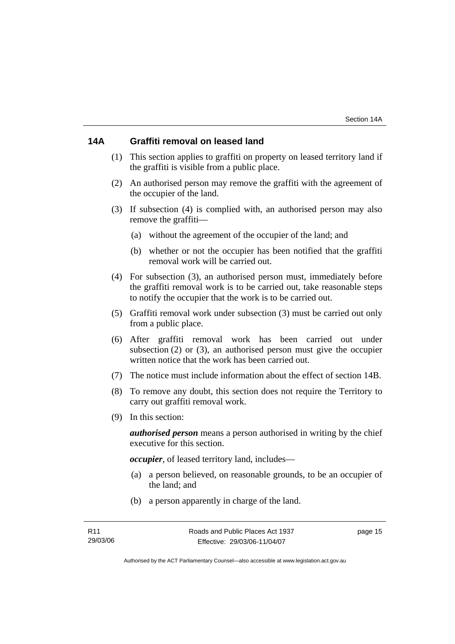# **14A Graffiti removal on leased land**

- (1) This section applies to graffiti on property on leased territory land if the graffiti is visible from a public place.
- (2) An authorised person may remove the graffiti with the agreement of the occupier of the land.
- (3) If subsection (4) is complied with, an authorised person may also remove the graffiti—
	- (a) without the agreement of the occupier of the land; and
	- (b) whether or not the occupier has been notified that the graffiti removal work will be carried out.
- (4) For subsection (3), an authorised person must, immediately before the graffiti removal work is to be carried out, take reasonable steps to notify the occupier that the work is to be carried out.
- (5) Graffiti removal work under subsection (3) must be carried out only from a public place.
- (6) After graffiti removal work has been carried out under subsection (2) or (3), an authorised person must give the occupier written notice that the work has been carried out.
- (7) The notice must include information about the effect of section 14B.
- (8) To remove any doubt, this section does not require the Territory to carry out graffiti removal work.
- (9) In this section:

*authorised person* means a person authorised in writing by the chief executive for this section.

*occupier*, of leased territory land, includes—

- (a) a person believed, on reasonable grounds, to be an occupier of the land; and
- (b) a person apparently in charge of the land.

page 15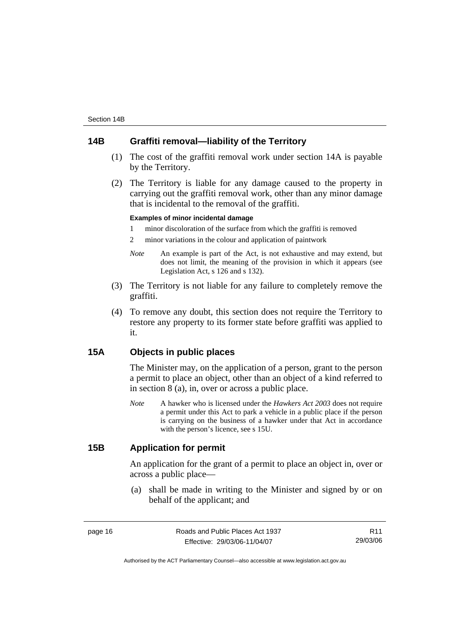# **14B Graffiti removal—liability of the Territory**

- (1) The cost of the graffiti removal work under section 14A is payable by the Territory.
- (2) The Territory is liable for any damage caused to the property in carrying out the graffiti removal work, other than any minor damage that is incidental to the removal of the graffiti.

#### **Examples of minor incidental damage**

1 minor discoloration of the surface from which the graffiti is removed

2 minor variations in the colour and application of paintwork

- *Note* An example is part of the Act, is not exhaustive and may extend, but does not limit, the meaning of the provision in which it appears (see Legislation Act, s 126 and s 132).
- (3) The Territory is not liable for any failure to completely remove the graffiti.
- (4) To remove any doubt, this section does not require the Territory to restore any property to its former state before graffiti was applied to it.

# **15A Objects in public places**

The Minister may, on the application of a person, grant to the person a permit to place an object, other than an object of a kind referred to in section 8 (a), in, over or across a public place.

*Note* A hawker who is licensed under the *Hawkers Act 2003* does not require a permit under this Act to park a vehicle in a public place if the person is carrying on the business of a hawker under that Act in accordance with the person's licence, see s 15U.

# **15B Application for permit**

An application for the grant of a permit to place an object in, over or across a public place—

 (a) shall be made in writing to the Minister and signed by or on behalf of the applicant; and

page 16 **Roads** and Public Places Act 1937 Effective: 29/03/06-11/04/07

R11 29/03/06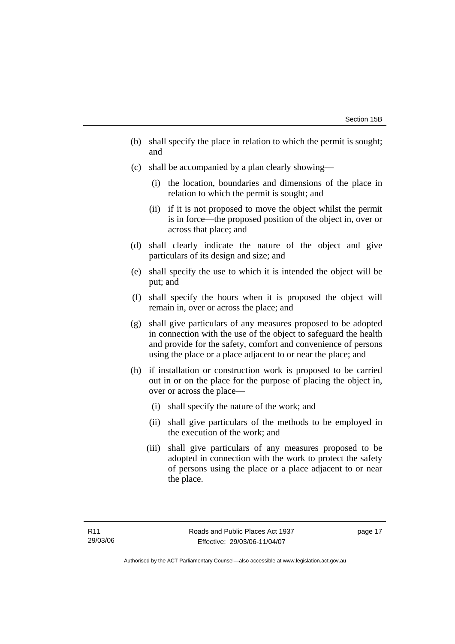- (b) shall specify the place in relation to which the permit is sought; and
- (c) shall be accompanied by a plan clearly showing—
	- (i) the location, boundaries and dimensions of the place in relation to which the permit is sought; and
	- (ii) if it is not proposed to move the object whilst the permit is in force—the proposed position of the object in, over or across that place; and
- (d) shall clearly indicate the nature of the object and give particulars of its design and size; and
- (e) shall specify the use to which it is intended the object will be put; and
- (f) shall specify the hours when it is proposed the object will remain in, over or across the place; and
- (g) shall give particulars of any measures proposed to be adopted in connection with the use of the object to safeguard the health and provide for the safety, comfort and convenience of persons using the place or a place adjacent to or near the place; and
- (h) if installation or construction work is proposed to be carried out in or on the place for the purpose of placing the object in, over or across the place—
	- (i) shall specify the nature of the work; and
	- (ii) shall give particulars of the methods to be employed in the execution of the work; and
	- (iii) shall give particulars of any measures proposed to be adopted in connection with the work to protect the safety of persons using the place or a place adjacent to or near the place.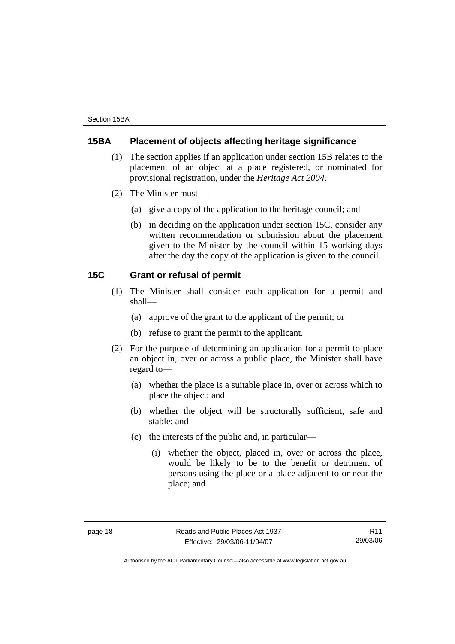# **15BA Placement of objects affecting heritage significance**

- (1) The section applies if an application under section 15B relates to the placement of an object at a place registered, or nominated for provisional registration, under the *Heritage Act 2004*.
- (2) The Minister must—
	- (a) give a copy of the application to the heritage council; and
	- (b) in deciding on the application under section 15C, consider any written recommendation or submission about the placement given to the Minister by the council within 15 working days after the day the copy of the application is given to the council.

#### **15C Grant or refusal of permit**

- (1) The Minister shall consider each application for a permit and shall—
	- (a) approve of the grant to the applicant of the permit; or
	- (b) refuse to grant the permit to the applicant.
- (2) For the purpose of determining an application for a permit to place an object in, over or across a public place, the Minister shall have regard to—
	- (a) whether the place is a suitable place in, over or across which to place the object; and
	- (b) whether the object will be structurally sufficient, safe and stable; and
	- (c) the interests of the public and, in particular—
		- (i) whether the object, placed in, over or across the place, would be likely to be to the benefit or detriment of persons using the place or a place adjacent to or near the place; and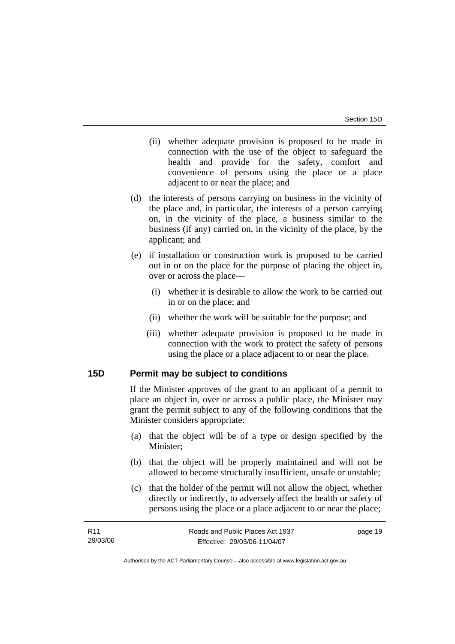- (ii) whether adequate provision is proposed to be made in connection with the use of the object to safeguard the health and provide for the safety, comfort and convenience of persons using the place or a place adjacent to or near the place; and
- (d) the interests of persons carrying on business in the vicinity of the place and, in particular, the interests of a person carrying on, in the vicinity of the place, a business similar to the business (if any) carried on, in the vicinity of the place, by the applicant; and
- (e) if installation or construction work is proposed to be carried out in or on the place for the purpose of placing the object in, over or across the place—
	- (i) whether it is desirable to allow the work to be carried out in or on the place; and
	- (ii) whether the work will be suitable for the purpose; and
	- (iii) whether adequate provision is proposed to be made in connection with the work to protect the safety of persons using the place or a place adjacent to or near the place.

#### **15D Permit may be subject to conditions**

If the Minister approves of the grant to an applicant of a permit to place an object in, over or across a public place, the Minister may grant the permit subject to any of the following conditions that the Minister considers appropriate:

- (a) that the object will be of a type or design specified by the Minister;
- (b) that the object will be properly maintained and will not be allowed to become structurally insufficient, unsafe or unstable;
- (c) that the holder of the permit will not allow the object, whether directly or indirectly, to adversely affect the health or safety of persons using the place or a place adjacent to or near the place;

| R11      | Roads and Public Places Act 1937 | page 19 |
|----------|----------------------------------|---------|
| 29/03/06 | Effective: 29/03/06-11/04/07     |         |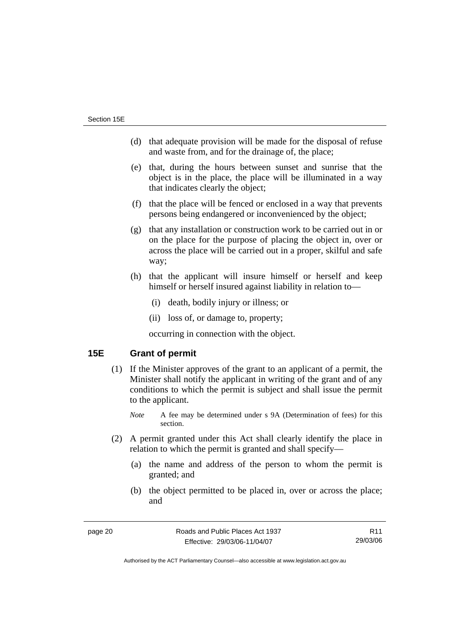- (d) that adequate provision will be made for the disposal of refuse and waste from, and for the drainage of, the place;
- (e) that, during the hours between sunset and sunrise that the object is in the place, the place will be illuminated in a way that indicates clearly the object;
- (f) that the place will be fenced or enclosed in a way that prevents persons being endangered or inconvenienced by the object;
- (g) that any installation or construction work to be carried out in or on the place for the purpose of placing the object in, over or across the place will be carried out in a proper, skilful and safe way;
- (h) that the applicant will insure himself or herself and keep himself or herself insured against liability in relation to—
	- (i) death, bodily injury or illness; or
	- (ii) loss of, or damage to, property;

occurring in connection with the object.

# **15E Grant of permit**

- (1) If the Minister approves of the grant to an applicant of a permit, the Minister shall notify the applicant in writing of the grant and of any conditions to which the permit is subject and shall issue the permit to the applicant.
	- *Note* A fee may be determined under s 9A (Determination of fees) for this section.
- (2) A permit granted under this Act shall clearly identify the place in relation to which the permit is granted and shall specify—
	- (a) the name and address of the person to whom the permit is granted; and
	- (b) the object permitted to be placed in, over or across the place; and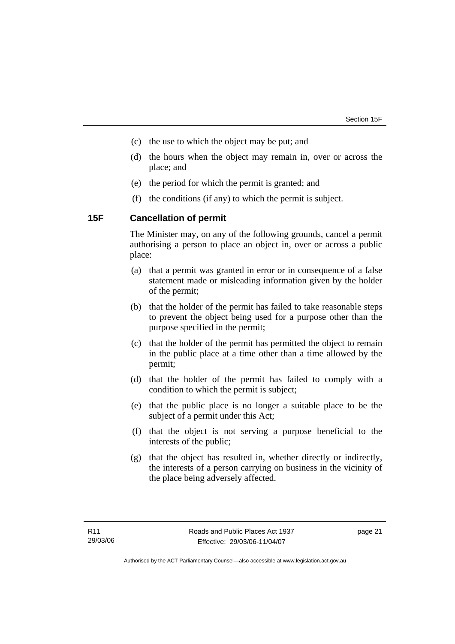- (c) the use to which the object may be put; and
- (d) the hours when the object may remain in, over or across the place; and
- (e) the period for which the permit is granted; and
- (f) the conditions (if any) to which the permit is subject.

## **15F Cancellation of permit**

The Minister may, on any of the following grounds, cancel a permit authorising a person to place an object in, over or across a public place:

- (a) that a permit was granted in error or in consequence of a false statement made or misleading information given by the holder of the permit;
- (b) that the holder of the permit has failed to take reasonable steps to prevent the object being used for a purpose other than the purpose specified in the permit;
- (c) that the holder of the permit has permitted the object to remain in the public place at a time other than a time allowed by the permit;
- (d) that the holder of the permit has failed to comply with a condition to which the permit is subject;
- (e) that the public place is no longer a suitable place to be the subject of a permit under this Act;
- (f) that the object is not serving a purpose beneficial to the interests of the public;
- (g) that the object has resulted in, whether directly or indirectly, the interests of a person carrying on business in the vicinity of the place being adversely affected.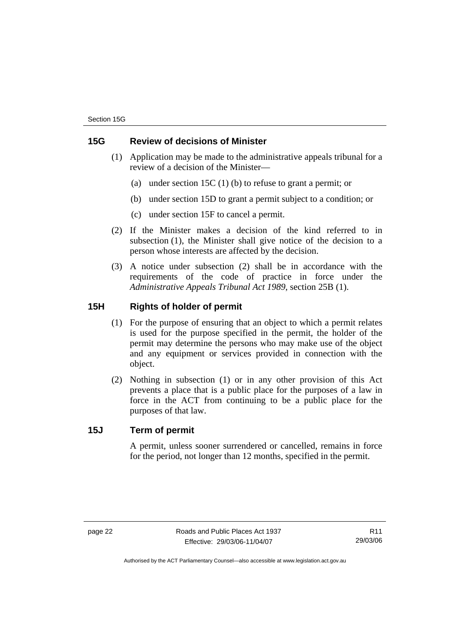# **15G Review of decisions of Minister**

- (1) Application may be made to the administrative appeals tribunal for a review of a decision of the Minister—
	- (a) under section 15C (1) (b) to refuse to grant a permit; or
	- (b) under section 15D to grant a permit subject to a condition; or
	- (c) under section 15F to cancel a permit.
- (2) If the Minister makes a decision of the kind referred to in subsection (1), the Minister shall give notice of the decision to a person whose interests are affected by the decision.
- (3) A notice under subsection (2) shall be in accordance with the requirements of the code of practice in force under the *Administrative Appeals Tribunal Act 1989*, section 25B (1).

# **15H Rights of holder of permit**

- (1) For the purpose of ensuring that an object to which a permit relates is used for the purpose specified in the permit, the holder of the permit may determine the persons who may make use of the object and any equipment or services provided in connection with the object.
- (2) Nothing in subsection (1) or in any other provision of this Act prevents a place that is a public place for the purposes of a law in force in the ACT from continuing to be a public place for the purposes of that law.

### **15J Term of permit**

A permit, unless sooner surrendered or cancelled, remains in force for the period, not longer than 12 months, specified in the permit.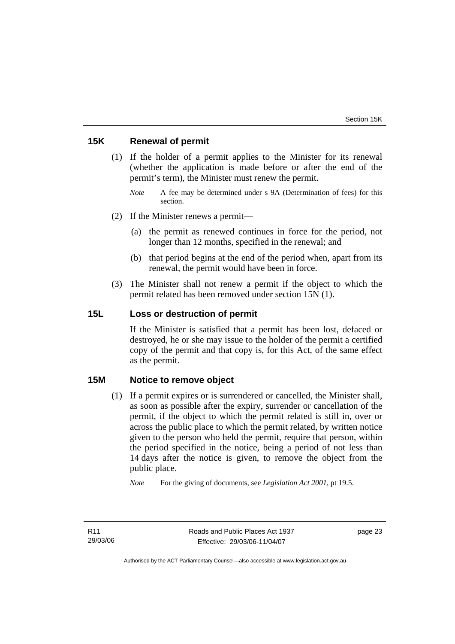# **15K Renewal of permit**

- (1) If the holder of a permit applies to the Minister for its renewal (whether the application is made before or after the end of the permit's term), the Minister must renew the permit.
	- *Note* A fee may be determined under s 9A (Determination of fees) for this section.
- (2) If the Minister renews a permit—
	- (a) the permit as renewed continues in force for the period, not longer than 12 months, specified in the renewal; and
	- (b) that period begins at the end of the period when, apart from its renewal, the permit would have been in force.
- (3) The Minister shall not renew a permit if the object to which the permit related has been removed under section 15N (1).

# **15L Loss or destruction of permit**

If the Minister is satisfied that a permit has been lost, defaced or destroyed, he or she may issue to the holder of the permit a certified copy of the permit and that copy is, for this Act, of the same effect as the permit.

#### **15M Notice to remove object**

 (1) If a permit expires or is surrendered or cancelled, the Minister shall, as soon as possible after the expiry, surrender or cancellation of the permit, if the object to which the permit related is still in, over or across the public place to which the permit related, by written notice given to the person who held the permit, require that person, within the period specified in the notice, being a period of not less than 14 days after the notice is given, to remove the object from the public place.

*Note* For the giving of documents, see *Legislation Act 2001*, pt 19.5.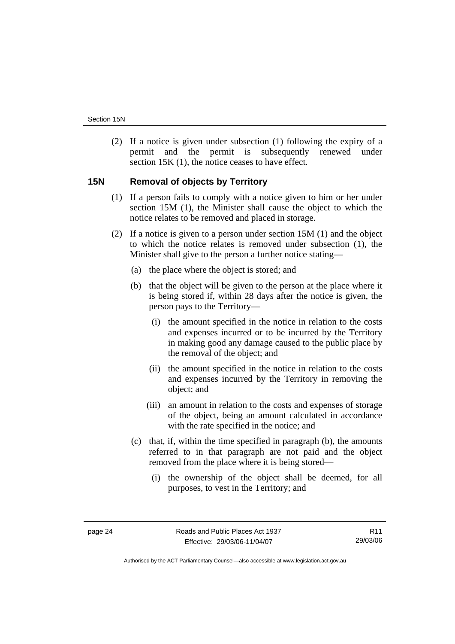(2) If a notice is given under subsection (1) following the expiry of a permit and the permit is subsequently renewed under section 15K (1), the notice ceases to have effect.

# **15N Removal of objects by Territory**

- (1) If a person fails to comply with a notice given to him or her under section 15M (1), the Minister shall cause the object to which the notice relates to be removed and placed in storage.
- (2) If a notice is given to a person under section 15M (1) and the object to which the notice relates is removed under subsection (1), the Minister shall give to the person a further notice stating—
	- (a) the place where the object is stored; and
	- (b) that the object will be given to the person at the place where it is being stored if, within 28 days after the notice is given, the person pays to the Territory—
		- (i) the amount specified in the notice in relation to the costs and expenses incurred or to be incurred by the Territory in making good any damage caused to the public place by the removal of the object; and
		- (ii) the amount specified in the notice in relation to the costs and expenses incurred by the Territory in removing the object; and
		- (iii) an amount in relation to the costs and expenses of storage of the object, being an amount calculated in accordance with the rate specified in the notice; and
	- (c) that, if, within the time specified in paragraph (b), the amounts referred to in that paragraph are not paid and the object removed from the place where it is being stored—
		- (i) the ownership of the object shall be deemed, for all purposes, to vest in the Territory; and

Authorised by the ACT Parliamentary Counsel—also accessible at www.legislation.act.gov.au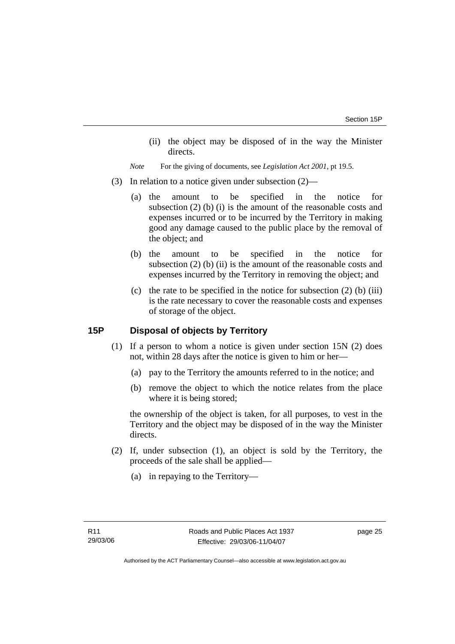(ii) the object may be disposed of in the way the Minister directs.

*Note* For the giving of documents, see *Legislation Act 2001*, pt 19.5.

- (3) In relation to a notice given under subsection (2)—
	- (a) the amount to be specified in the notice for subsection  $(2)$  (b)  $(i)$  is the amount of the reasonable costs and expenses incurred or to be incurred by the Territory in making good any damage caused to the public place by the removal of the object; and
	- (b) the amount to be specified in the notice for subsection (2) (b) (ii) is the amount of the reasonable costs and expenses incurred by the Territory in removing the object; and
	- (c) the rate to be specified in the notice for subsection  $(2)$  (b) (iii) is the rate necessary to cover the reasonable costs and expenses of storage of the object.

# **15P Disposal of objects by Territory**

- (1) If a person to whom a notice is given under section 15N (2) does not, within 28 days after the notice is given to him or her—
	- (a) pay to the Territory the amounts referred to in the notice; and
	- (b) remove the object to which the notice relates from the place where it is being stored;

the ownership of the object is taken, for all purposes, to vest in the Territory and the object may be disposed of in the way the Minister directs.

- (2) If, under subsection (1), an object is sold by the Territory, the proceeds of the sale shall be applied—
	- (a) in repaying to the Territory—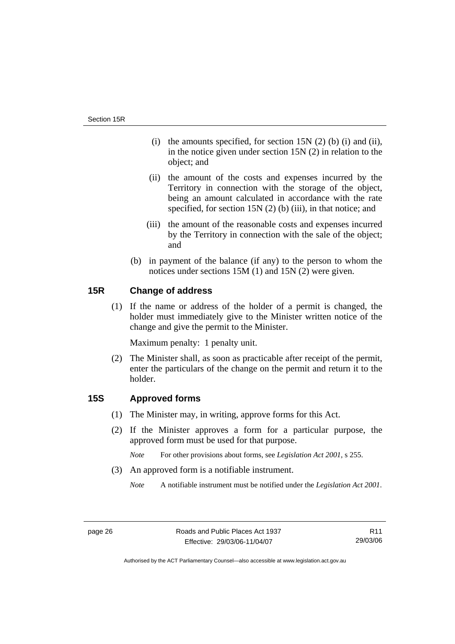- (i) the amounts specified, for section  $15N(2)$  (b) (i) and (ii), in the notice given under section 15N (2) in relation to the object; and
- (ii) the amount of the costs and expenses incurred by the Territory in connection with the storage of the object, being an amount calculated in accordance with the rate specified, for section 15N (2) (b) (iii), in that notice; and
- (iii) the amount of the reasonable costs and expenses incurred by the Territory in connection with the sale of the object; and
- (b) in payment of the balance (if any) to the person to whom the notices under sections 15M (1) and 15N (2) were given.

# **15R Change of address**

 (1) If the name or address of the holder of a permit is changed, the holder must immediately give to the Minister written notice of the change and give the permit to the Minister.

Maximum penalty: 1 penalty unit.

 (2) The Minister shall, as soon as practicable after receipt of the permit, enter the particulars of the change on the permit and return it to the holder.

# **15S Approved forms**

- (1) The Minister may, in writing, approve forms for this Act.
- (2) If the Minister approves a form for a particular purpose, the approved form must be used for that purpose.
	- *Note* For other provisions about forms, see *Legislation Act 2001*, s 255.
- (3) An approved form is a notifiable instrument.
	- *Note* A notifiable instrument must be notified under the *Legislation Act 2001*.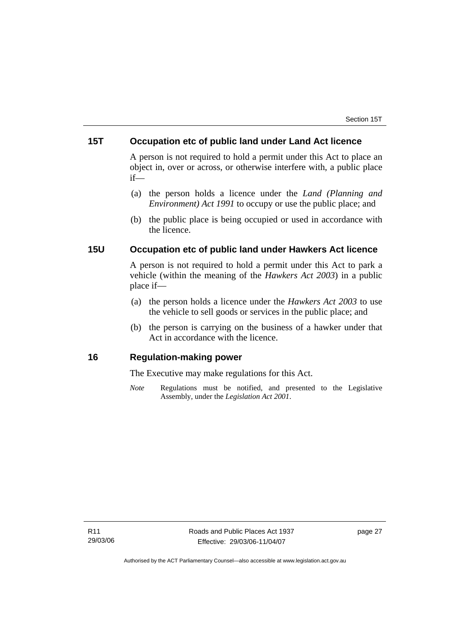# **15T Occupation etc of public land under Land Act licence**

A person is not required to hold a permit under this Act to place an object in, over or across, or otherwise interfere with, a public place if—

- (a) the person holds a licence under the *Land (Planning and Environment) Act 1991* to occupy or use the public place; and
- (b) the public place is being occupied or used in accordance with the licence.

## **15U Occupation etc of public land under Hawkers Act licence**

A person is not required to hold a permit under this Act to park a vehicle (within the meaning of the *Hawkers Act 2003*) in a public place if—

- (a) the person holds a licence under the *Hawkers Act 2003* to use the vehicle to sell goods or services in the public place; and
- (b) the person is carrying on the business of a hawker under that Act in accordance with the licence.

# **16 Regulation-making power**

The Executive may make regulations for this Act.

*Note* Regulations must be notified, and presented to the Legislative Assembly, under the *Legislation Act 2001*.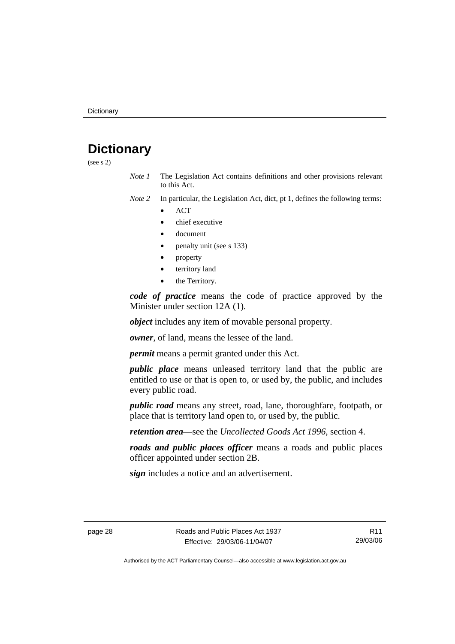# **Dictionary**

(see s 2)

- *Note 1* The Legislation Act contains definitions and other provisions relevant to this Act.
- *Note 2* In particular, the Legislation Act, dict, pt 1, defines the following terms:
	- ACT
	- chief executive
	- document
	- penalty unit (see s 133)
	- property
	- territory land
	- the Territory.

*code of practice* means the code of practice approved by the Minister under section 12A (1).

*object* includes any item of movable personal property.

*owner*, of land, means the lessee of the land.

*permit* means a permit granted under this Act.

*public place* means unleased territory land that the public are entitled to use or that is open to, or used by, the public, and includes every public road.

*public road* means any street, road, lane, thoroughfare, footpath, or place that is territory land open to, or used by, the public.

*retention area*—see the *Uncollected Goods Act 1996*, section 4.

*roads and public places officer* means a roads and public places officer appointed under section 2B.

*sign* includes a notice and an advertisement.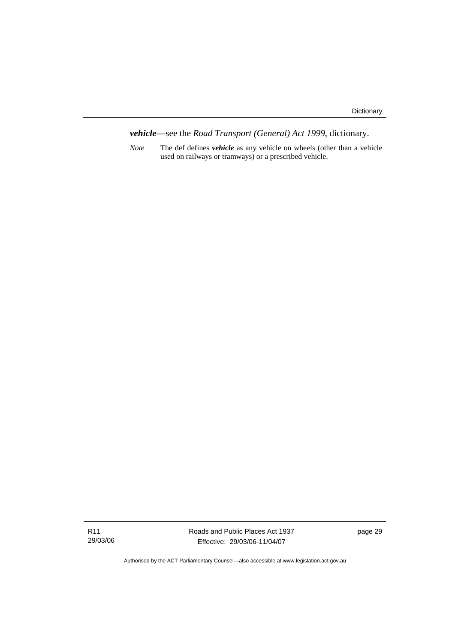*vehicle*—see the *Road Transport (General) Act 1999*, dictionary.

*Note* The def defines *vehicle* as any vehicle on wheels (other than a vehicle used on railways or tramways) or a prescribed vehicle.

Roads and Public Places Act 1937 Effective: 29/03/06-11/04/07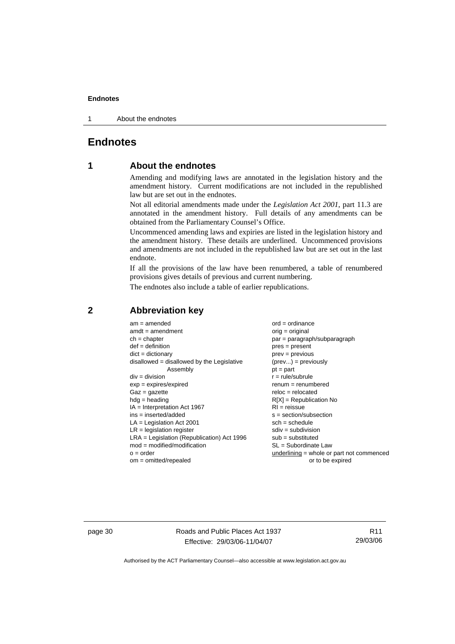1 About the endnotes

# **Endnotes**

# **1 About the endnotes**

Amending and modifying laws are annotated in the legislation history and the amendment history. Current modifications are not included in the republished law but are set out in the endnotes.

Not all editorial amendments made under the *Legislation Act 2001*, part 11.3 are annotated in the amendment history. Full details of any amendments can be obtained from the Parliamentary Counsel's Office.

Uncommenced amending laws and expiries are listed in the legislation history and the amendment history. These details are underlined. Uncommenced provisions and amendments are not included in the republished law but are set out in the last endnote.

If all the provisions of the law have been renumbered, a table of renumbered provisions gives details of previous and current numbering.

The endnotes also include a table of earlier republications.

| $am = amended$<br>$amdt = amendment$<br>$ch = chapter$<br>$def = definition$<br>$dict = dictionary$<br>disallowed = disallowed by the Legislative<br>Assembly<br>$div = division$<br>$exp = expires/expired$<br>$Gaz = gazette$<br>$h dq =$ heading<br>$IA = Interpretation Act 1967$<br>$ins = inserted/added$<br>$LA =$ Legislation Act 2001<br>$LR =$ legislation register<br>$LRA =$ Legislation (Republication) Act 1996<br>$mod = modified/modification$<br>$o = order$ | $ord = ordinance$<br>$orig = original$<br>par = paragraph/subparagraph<br>$pres = present$<br>$prev = previous$<br>$(\text{prev}) = \text{previously}$<br>$pt = part$<br>$r = rule/subrule$<br>$renum = renumbered$<br>$reloc = relocated$<br>$R[X]$ = Republication No<br>$RI = reissue$<br>$s = section/subsection$<br>$sch = schedule$<br>$sdiv = subdivision$<br>$sub = substituted$<br>SL = Subordinate Law<br>underlining = whole or part not commenced |
|-------------------------------------------------------------------------------------------------------------------------------------------------------------------------------------------------------------------------------------------------------------------------------------------------------------------------------------------------------------------------------------------------------------------------------------------------------------------------------|---------------------------------------------------------------------------------------------------------------------------------------------------------------------------------------------------------------------------------------------------------------------------------------------------------------------------------------------------------------------------------------------------------------------------------------------------------------|
| $om = omitted/repealed$                                                                                                                                                                                                                                                                                                                                                                                                                                                       | or to be expired                                                                                                                                                                                                                                                                                                                                                                                                                                              |
|                                                                                                                                                                                                                                                                                                                                                                                                                                                                               |                                                                                                                                                                                                                                                                                                                                                                                                                                                               |

### **2 Abbreviation key**

page 30 Roads and Public Places Act 1937 Effective: 29/03/06-11/04/07

R11 29/03/06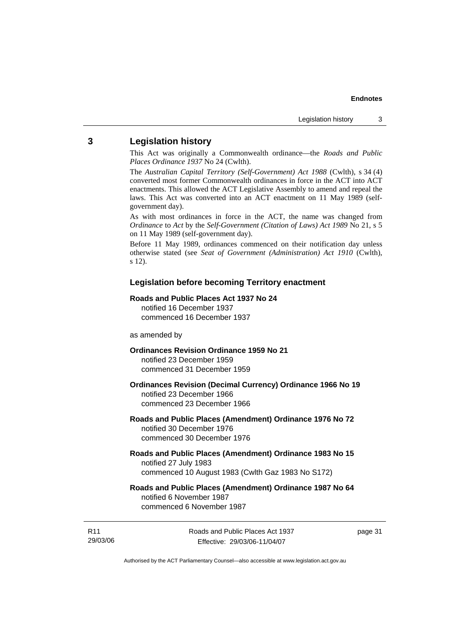# **3 Legislation history**

This Act was originally a Commonwealth ordinance—the *Roads and Public Places Ordinance 1937* No 24 (Cwlth).

The *Australian Capital Territory (Self-Government) Act 1988* (Cwlth), s 34 (4) converted most former Commonwealth ordinances in force in the ACT into ACT enactments. This allowed the ACT Legislative Assembly to amend and repeal the laws. This Act was converted into an ACT enactment on 11 May 1989 (selfgovernment day).

As with most ordinances in force in the ACT, the name was changed from *Ordinance* to *Act* by the *Self-Government (Citation of Laws) Act 1989* No 21, s 5 on 11 May 1989 (self-government day).

Before 11 May 1989, ordinances commenced on their notification day unless otherwise stated (see *Seat of Government (Administration) Act 1910* (Cwlth), s 12).

#### **Legislation before becoming Territory enactment**

#### **Roads and Public Places Act 1937 No 24**

notified 16 December 1937 commenced 16 December 1937

#### as amended by

#### **Ordinances Revision Ordinance 1959 No 21**  notified 23 December 1959

commenced 31 December 1959

#### **Ordinances Revision (Decimal Currency) Ordinance 1966 No 19**  notified 23 December 1966 commenced 23 December 1966

#### **Roads and Public Places (Amendment) Ordinance 1976 No 72**  notified 30 December 1976 commenced 30 December 1976

#### **Roads and Public Places (Amendment) Ordinance 1983 No 15**  notified 27 July 1983 commenced 10 August 1983 (Cwlth Gaz 1983 No S172)

#### **Roads and Public Places (Amendment) Ordinance 1987 No 64**  notified 6 November 1987 commenced 6 November 1987

R11 29/03/06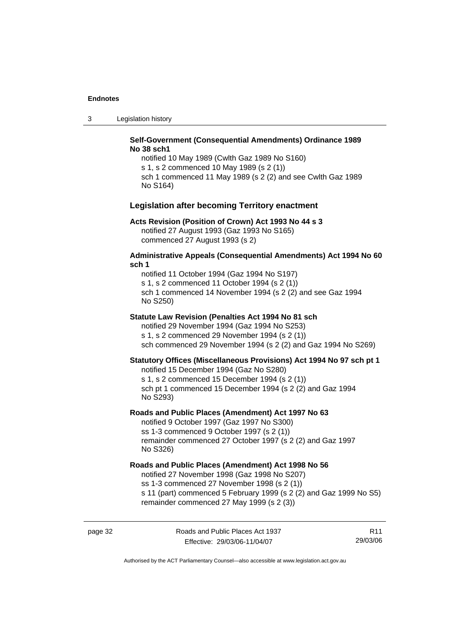3 Legislation history

#### **Self-Government (Consequential Amendments) Ordinance 1989 No 38 sch1**

notified 10 May 1989 (Cwlth Gaz 1989 No S160) s 1, s 2 commenced 10 May 1989 (s 2 (1)) sch 1 commenced 11 May 1989 (s 2 (2) and see Cwlth Gaz 1989 No S164)

#### **Legislation after becoming Territory enactment**

#### **Acts Revision (Position of Crown) Act 1993 No 44 s 3**

notified 27 August 1993 (Gaz 1993 No S165) commenced 27 August 1993 (s 2)

#### **Administrative Appeals (Consequential Amendments) Act 1994 No 60 sch 1**

notified 11 October 1994 (Gaz 1994 No S197) s 1, s 2 commenced 11 October 1994 (s 2 (1)) sch 1 commenced 14 November 1994 (s 2 (2) and see Gaz 1994 No S250)

#### **Statute Law Revision (Penalties Act 1994 No 81 sch**

notified 29 November 1994 (Gaz 1994 No S253) s 1, s 2 commenced 29 November 1994 (s 2 (1)) sch commenced 29 November 1994 (s 2 (2) and Gaz 1994 No S269)

#### **Statutory Offices (Miscellaneous Provisions) Act 1994 No 97 sch pt 1**

notified 15 December 1994 (Gaz No S280)

s 1, s 2 commenced 15 December 1994 (s 2 (1)) sch pt 1 commenced 15 December 1994 (s 2 (2) and Gaz 1994 No S293)

#### **Roads and Public Places (Amendment) Act 1997 No 63**

notified 9 October 1997 (Gaz 1997 No S300) ss 1-3 commenced 9 October 1997 (s 2 (1)) remainder commenced 27 October 1997 (s 2 (2) and Gaz 1997 No S326)

#### **Roads and Public Places (Amendment) Act 1998 No 56**

notified 27 November 1998 (Gaz 1998 No S207) ss 1-3 commenced 27 November 1998 (s 2 (1)) s 11 (part) commenced 5 February 1999 (s 2 (2) and Gaz 1999 No S5) remainder commenced 27 May 1999 (s 2 (3))

page 32 Roads and Public Places Act 1937 Effective: 29/03/06-11/04/07

R11 29/03/06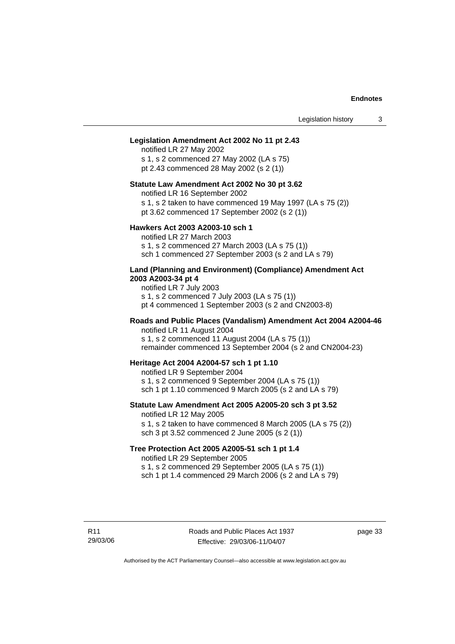#### **Legislation Amendment Act 2002 No 11 pt 2.43**

notified LR 27 May 2002 s 1, s 2 commenced 27 May 2002 (LA s 75) pt 2.43 commenced 28 May 2002 (s 2 (1))

#### **Statute Law Amendment Act 2002 No 30 pt 3.62**

notified LR 16 September 2002

s 1, s 2 taken to have commenced 19 May 1997 (LA s 75 (2))

pt 3.62 commenced 17 September 2002 (s 2 (1))

#### **Hawkers Act 2003 A2003-10 sch 1**

notified LR 27 March 2003 s 1, s 2 commenced 27 March 2003 (LA s 75 (1)) sch 1 commenced 27 September 2003 (s 2 and LA s 79)

#### **Land (Planning and Environment) (Compliance) Amendment Act 2003 A2003-34 pt 4**

notified LR 7 July 2003 s 1, s 2 commenced 7 July 2003 (LA s 75 (1)) pt 4 commenced 1 September 2003 (s 2 and CN2003-8)

#### **Roads and Public Places (Vandalism) Amendment Act 2004 A2004-46**  notified LR 11 August 2004

s 1, s 2 commenced 11 August 2004 (LA s 75 (1)) remainder commenced 13 September 2004 (s 2 and CN2004-23)

**Heritage Act 2004 A2004-57 sch 1 pt 1.10** 

notified LR 9 September 2004 s 1, s 2 commenced 9 September 2004 (LA s 75 (1)) sch 1 pt 1.10 commenced 9 March 2005 (s 2 and LA s 79)

# **Statute Law Amendment Act 2005 A2005-20 sch 3 pt 3.52**

notified LR 12 May 2005

s 1, s 2 taken to have commenced 8 March 2005 (LA s 75 (2)) sch 3 pt 3.52 commenced 2 June 2005 (s 2 (1))

#### **Tree Protection Act 2005 A2005-51 sch 1 pt 1.4**

notified LR 29 September 2005

s 1, s 2 commenced 29 September 2005 (LA s 75 (1))

sch 1 pt 1.4 commenced 29 March 2006 (s 2 and  $LA$  s 79)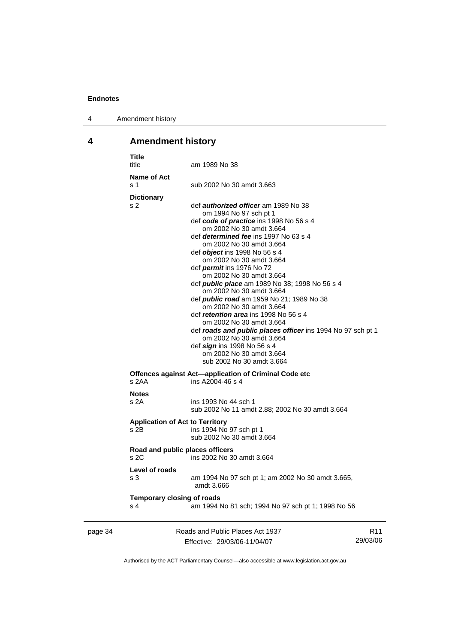4 Amendment history

# **4 Amendment history**

|         | <b>Title</b><br>title                            | am 1989 No 38                                                                                                                                                                                                                                                                                                                                                                                                                                                                                                                                                                                                                                                                                                                                                                             |     |
|---------|--------------------------------------------------|-------------------------------------------------------------------------------------------------------------------------------------------------------------------------------------------------------------------------------------------------------------------------------------------------------------------------------------------------------------------------------------------------------------------------------------------------------------------------------------------------------------------------------------------------------------------------------------------------------------------------------------------------------------------------------------------------------------------------------------------------------------------------------------------|-----|
|         | Name of Act<br>s 1                               | sub 2002 No 30 amdt 3.663                                                                                                                                                                                                                                                                                                                                                                                                                                                                                                                                                                                                                                                                                                                                                                 |     |
|         | <b>Dictionary</b><br>s <sub>2</sub>              | def <i>authorized officer</i> am 1989 No 38<br>om 1994 No 97 sch pt 1<br>def code of practice ins 1998 No 56 s 4<br>om 2002 No 30 amdt 3.664<br>def <i>determined fee</i> ins 1997 No 63 s 4<br>om 2002 No 30 amdt 3.664<br>def <i>object</i> ins 1998 No 56 s 4<br>om 2002 No 30 amdt 3.664<br>def <i>permit</i> ins 1976 No 72<br>om 2002 No 30 amdt 3.664<br>def <i>public place</i> am 1989 No 38; 1998 No 56 s 4<br>om 2002 No 30 amdt 3.664<br>def public road am 1959 No 21; 1989 No 38<br>om 2002 No 30 amdt 3.664<br>def <i>retention area</i> ins 1998 No 56 s 4<br>om 2002 No 30 amdt 3.664<br>def roads and public places officer ins 1994 No 97 sch pt 1<br>om 2002 No 30 amdt 3.664<br>def sign ins 1998 No 56 s 4<br>om 2002 No 30 amdt 3.664<br>sub 2002 No 30 amdt 3.664 |     |
|         | s 2AA                                            | Offences against Act—application of Criminal Code etc<br>ins A2004-46 s 4                                                                                                                                                                                                                                                                                                                                                                                                                                                                                                                                                                                                                                                                                                                 |     |
|         | <b>Notes</b><br>s <sub>2A</sub>                  | ins 1993 No 44 sch 1<br>sub 2002 No 11 amdt 2.88; 2002 No 30 amdt 3.664                                                                                                                                                                                                                                                                                                                                                                                                                                                                                                                                                                                                                                                                                                                   |     |
|         | <b>Application of Act to Territory</b><br>$s$ 2B | ins 1994 No 97 sch pt 1<br>sub 2002 No 30 amdt 3.664                                                                                                                                                                                                                                                                                                                                                                                                                                                                                                                                                                                                                                                                                                                                      |     |
|         | Road and public places officers<br>s2C           | ins 2002 No 30 amdt 3.664                                                                                                                                                                                                                                                                                                                                                                                                                                                                                                                                                                                                                                                                                                                                                                 |     |
|         | Level of roads<br>s 3                            | am 1994 No 97 sch pt 1; am 2002 No 30 amdt 3.665,<br>amdt 3.666                                                                                                                                                                                                                                                                                                                                                                                                                                                                                                                                                                                                                                                                                                                           |     |
|         | <b>Temporary closing of roads</b><br>s 4         | am 1994 No 81 sch; 1994 No 97 sch pt 1; 1998 No 56                                                                                                                                                                                                                                                                                                                                                                                                                                                                                                                                                                                                                                                                                                                                        |     |
| page 34 |                                                  | Roads and Public Places Act 1937                                                                                                                                                                                                                                                                                                                                                                                                                                                                                                                                                                                                                                                                                                                                                          | R11 |

Effective: 29/03/06-11/04/07 29/03/06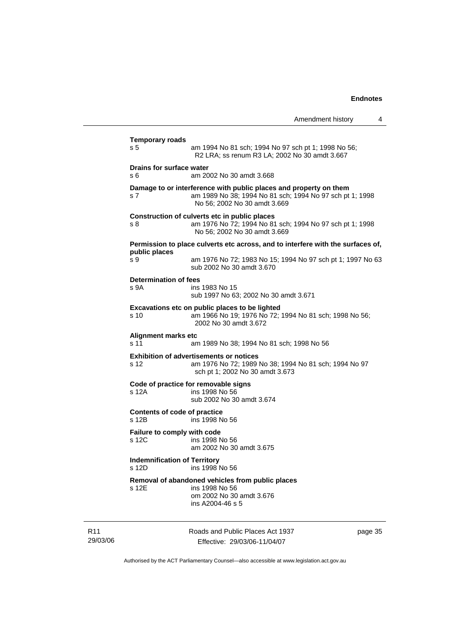|                                              |                                                                                                                                                               | Amendment history | 4 |
|----------------------------------------------|---------------------------------------------------------------------------------------------------------------------------------------------------------------|-------------------|---|
| <b>Temporary roads</b>                       |                                                                                                                                                               |                   |   |
| s 5                                          | am 1994 No 81 sch; 1994 No 97 sch pt 1; 1998 No 56;<br>R2 LRA; ss renum R3 LA; 2002 No 30 amdt 3.667                                                          |                   |   |
| <b>Drains for surface water</b><br>s 6       | am 2002 No 30 amdt 3.668                                                                                                                                      |                   |   |
| s 7                                          | Damage to or interference with public places and property on them<br>am 1989 No 38; 1994 No 81 sch; 1994 No 97 sch pt 1; 1998<br>No 56; 2002 No 30 amdt 3.669 |                   |   |
| s 8                                          | Construction of culverts etc in public places<br>am 1976 No 72; 1994 No 81 sch; 1994 No 97 sch pt 1; 1998<br>No 56: 2002 No 30 amdt 3.669                     |                   |   |
|                                              | Permission to place culverts etc across, and to interfere with the surfaces of,                                                                               |                   |   |
| public places<br>s 9                         | am 1976 No 72; 1983 No 15; 1994 No 97 sch pt 1; 1997 No 63<br>sub 2002 No 30 amdt 3.670                                                                       |                   |   |
| Determination of fees                        |                                                                                                                                                               |                   |   |
| s 9A                                         | ins 1983 No 15<br>sub 1997 No 63; 2002 No 30 amdt 3.671                                                                                                       |                   |   |
| s 10                                         | Excavations etc on public places to be lighted<br>am 1966 No 19; 1976 No 72; 1994 No 81 sch; 1998 No 56;<br>2002 No 30 amdt 3.672                             |                   |   |
| Alignment marks etc<br>s 11                  | am 1989 No 38; 1994 No 81 sch; 1998 No 56                                                                                                                     |                   |   |
| s 12                                         | <b>Exhibition of advertisements or notices</b><br>am 1976 No 72; 1989 No 38; 1994 No 81 sch; 1994 No 97<br>sch pt 1; 2002 No 30 amdt 3.673                    |                   |   |
| s 12A                                        | Code of practice for removable signs<br>ins 1998 No 56<br>sub 2002 No 30 amdt 3.674                                                                           |                   |   |
| <b>Contents of code of practice</b><br>s 12B | ins 1998 No 56                                                                                                                                                |                   |   |
| Failure to comply with code<br>s 12C         | ins 1998 No 56<br>am 2002 No 30 amdt 3.675                                                                                                                    |                   |   |
| <b>Indemnification of Territory</b><br>s 12D | ins 1998 No 56                                                                                                                                                |                   |   |
| s 12E                                        | Removal of abandoned vehicles from public places<br>ins 1998 No 56<br>om 2002 No 30 amdt 3.676                                                                |                   |   |

R11 29/03/06 ins A2004-46 s 5

Roads and Public Places Act 1937 Effective: 29/03/06-11/04/07

page 35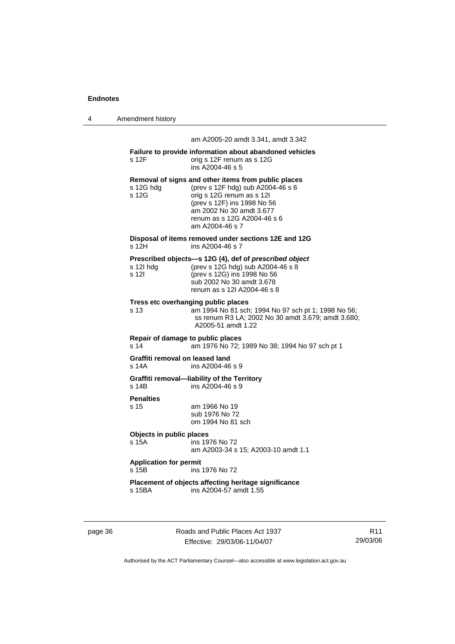|  | Amendment history |
|--|-------------------|
|--|-------------------|

am A2005-20 amdt 3.341, amdt 3.342

| s 12F                                                | Failure to provide information about abandoned vehicles<br>orig s 12F renum as s 12G<br>ins A2004-46 s 5                                                                                                                           |
|------------------------------------------------------|------------------------------------------------------------------------------------------------------------------------------------------------------------------------------------------------------------------------------------|
| s 12G hdg<br>s 12G                                   | Removal of signs and other items from public places<br>(prev s 12F hdg) sub A2004-46 s 6<br>orig s 12G renum as s 12I<br>(prev s 12F) ins 1998 No 56<br>am 2002 No 30 amdt 3.677<br>renum as s 12G A2004-46 s 6<br>am A2004-46 s 7 |
| s 12H                                                | Disposal of items removed under sections 12E and 12G<br>ins A2004-46 s 7                                                                                                                                                           |
| s 12I hda<br>s 12l                                   | Prescribed objects-s 12G (4), def of prescribed object<br>(prev s 12G hdg) sub A2004-46 s 8<br>(prev s 12G) ins 1998 No 56<br>sub 2002 No 30 amdt 3.678<br>renum as s 121 A2004-46 s 8                                             |
| s 13                                                 | Tress etc overhanging public places<br>am 1994 No 81 sch; 1994 No 97 sch pt 1; 1998 No 56;<br>ss renum R3 LA; 2002 No 30 amdt 3.679; amdt 3.680;<br>A2005-51 amdt 1.22                                                             |
| Repair of damage to public places<br>s <sub>14</sub> | am 1976 No 72; 1989 No 38; 1994 No 97 sch pt 1                                                                                                                                                                                     |
| Graffiti removal on leased land<br>s 14A             | ins A2004-46 s 9                                                                                                                                                                                                                   |
| s 14B                                                | Graffiti removal-liability of the Territory<br>ins A2004-46 s 9                                                                                                                                                                    |
| <b>Penalties</b><br>s 15                             | am 1966 No 19<br>sub 1976 No 72<br>om 1994 No 81 sch                                                                                                                                                                               |
| Objects in public places<br>s 15A                    | ins 1976 No 72<br>am A2003-34 s 15; A2003-10 amdt 1.1                                                                                                                                                                              |
| <b>Application for permit</b><br>s 15B               | ins 1976 No 72                                                                                                                                                                                                                     |
| s 15BA                                               | Placement of objects affecting heritage significance<br>ins A2004-57 amdt 1.55                                                                                                                                                     |
|                                                      |                                                                                                                                                                                                                                    |

page 36 Roads and Public Places Act 1937 Effective: 29/03/06-11/04/07

R11 29/03/06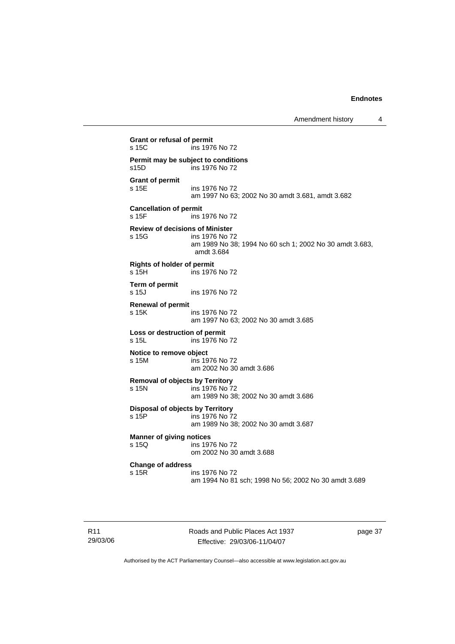Amendment history 4

```
Grant or refusal of permit 
s 15C ins 1976 No 72 
Permit may be subject to conditions 
s15D ins 1976 No 72 
Grant of permit 
                  ins 1976 No 72
                   am 1997 No 63; 2002 No 30 amdt 3.681, amdt 3.682 
Cancellation of permit 
s 15F ins 1976 No 72 
Review of decisions of Minister 
                  ins 1976 No 72
                   am 1989 No 38; 1994 No 60 sch 1; 2002 No 30 amdt 3.683, 
                   amdt 3.684 
Rights of holder of permit 
s 15H ins 1976 No 72 
Term of permit 
s 15J ins 1976 No 72 
Renewal of permit 
s 15K ins 1976 No 72 
                   am 1997 No 63; 2002 No 30 amdt 3.685 
Loss or destruction of permit 
s 15L ins 1976 No 72 
Notice to remove object 
s 15M ins 1976 No 72 
                   am 2002 No 30 amdt 3.686 
Removal of objects by Territory 
                  ins 1976 No 72
                   am 1989 No 38; 2002 No 30 amdt 3.686 
Disposal of objects by Territory<br>
s 15P ins 1976 No 7
                  ins 1976 No 72
                   am 1989 No 38; 2002 No 30 amdt 3.687 
Manner of giving notices<br>s 15Q ins 197
                  ins 1976 No 72
                   om 2002 No 30 amdt 3.688 
Change of address 
                  ins 1976 No 72
                   am 1994 No 81 sch; 1998 No 56; 2002 No 30 amdt 3.689
```
Roads and Public Places Act 1937 Effective: 29/03/06-11/04/07

page 37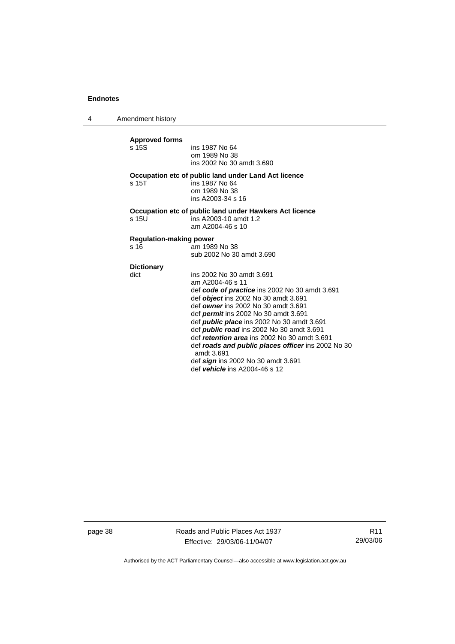4 Amendment history

| <b>Approved forms</b><br>$s$ 15 $S$ | ins 1987 No 64<br>om 1989 No 38<br>ins 2002 No 30 amdt 3.690                                                                                                                                                                                                                                                                                                                                                                                                                                                                             |
|-------------------------------------|------------------------------------------------------------------------------------------------------------------------------------------------------------------------------------------------------------------------------------------------------------------------------------------------------------------------------------------------------------------------------------------------------------------------------------------------------------------------------------------------------------------------------------------|
| s <sub>15T</sub>                    | Occupation etc of public land under Land Act licence<br>ins 1987 No 64<br>om 1989 No 38<br>ins A2003-34 s 16                                                                                                                                                                                                                                                                                                                                                                                                                             |
| s 15U                               | Occupation etc of public land under Hawkers Act licence<br>ins A2003-10 amdt 1.2<br>am A2004-46 s 10                                                                                                                                                                                                                                                                                                                                                                                                                                     |
| <b>Regulation-making power</b>      |                                                                                                                                                                                                                                                                                                                                                                                                                                                                                                                                          |
| s 16                                | am 1989 No 38<br>sub 2002 No 30 amdt 3.690                                                                                                                                                                                                                                                                                                                                                                                                                                                                                               |
| <b>Dictionary</b>                   |                                                                                                                                                                                                                                                                                                                                                                                                                                                                                                                                          |
| dict                                | ins 2002 No 30 amdt 3.691<br>am A2004-46 s 11<br>def code of practice ins 2002 No 30 amdt 3.691<br>def <i>object</i> ins 2002 No 30 amdt 3.691<br>def owner ins 2002 No 30 amdt 3.691<br>def <i>permit</i> ins 2002 No 30 amdt 3.691<br>def <i>public place</i> ins 2002 No 30 amdt 3.691<br>def <b>public road</b> ins 2002 No 30 amdt 3.691<br>def retention area ins 2002 No 30 amdt 3.691<br>def roads and public places officer ins 2002 No 30<br>amdt 3.691<br>def sign ins 2002 No 30 amdt 3.691<br>def vehicle ins A2004-46 s 12 |

page 38 Roads and Public Places Act 1937 Effective: 29/03/06-11/04/07

R11 29/03/06